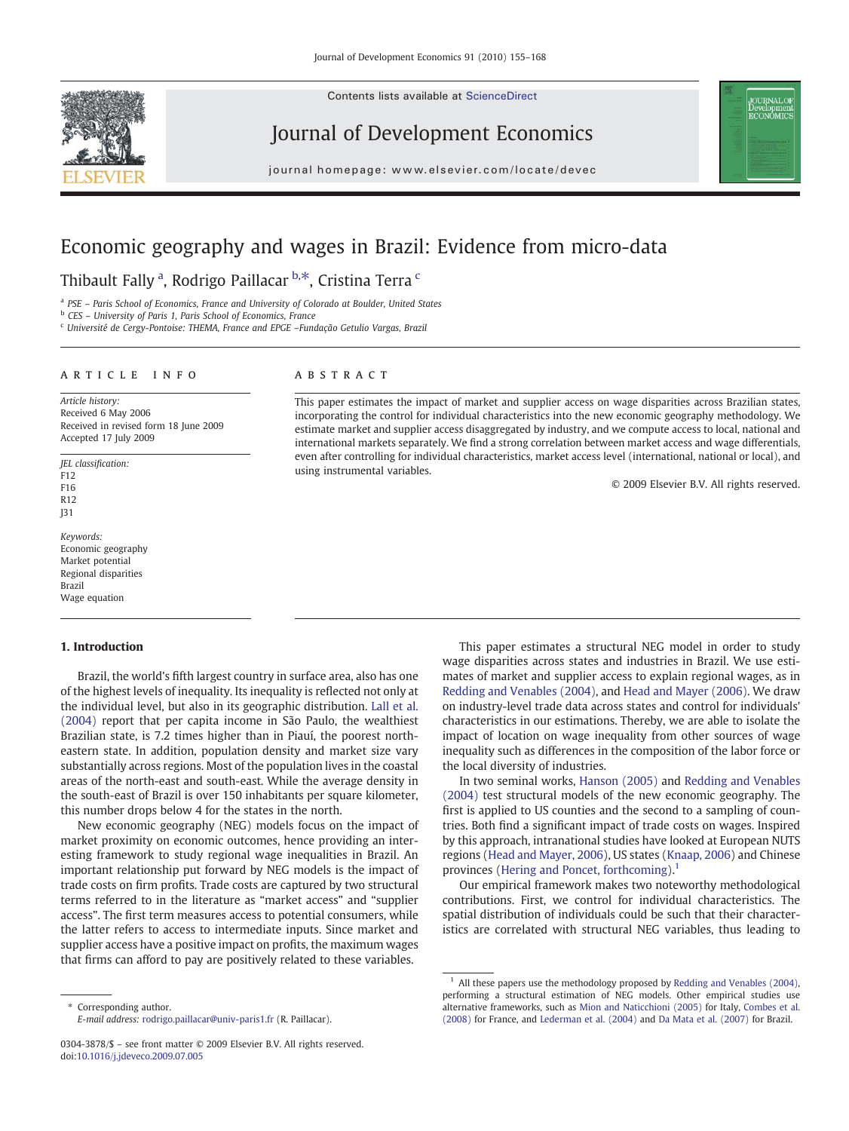Contents lists available at [ScienceDirect](http://www.sciencedirect.com/science/journal/03043878)



# Journal of Development Economics



journal homepage: www.elsevier.com/locate/devec

# Economic geography and wages in Brazil: Evidence from micro-data

## Thibault Fally <sup>a</sup>, Rodrigo Paillacar <sup>b,\*</sup>, Cristina Terra <sup>c</sup>

<sup>a</sup> PSE - Paris School of Economics, France and University of Colorado at Boulder, United States

b CES – University of Paris 1, Paris School of Economics, France

<sup>c</sup> Université de Cergy-Pontoise: THEMA, France and EPGE –Fundação Getulio Vargas, Brazil

#### article info abstract

Article history: Received 6 May 2006 Received in revised form 18 June 2009 Accepted 17 July 2009

JEL classification: F12 F16 R12

J31

Keywords: Economic geography Market potential Regional disparities Brazil Wage equation

#### 1. Introduction

Brazil, the world's fifth largest country in surface area, also has one of the highest levels of inequality. Its inequality is reflected not only at the individual level, but also in its geographic distribution. [Lall et al.](#page-13-0) [\(2004\)](#page-13-0) report that per capita income in São Paulo, the wealthiest Brazilian state, is 7.2 times higher than in Piauí, the poorest northeastern state. In addition, population density and market size vary substantially across regions. Most of the population lives in the coastal areas of the north-east and south-east. While the average density in the south-east of Brazil is over 150 inhabitants per square kilometer, this number drops below 4 for the states in the north.

New economic geography (NEG) models focus on the impact of market proximity on economic outcomes, hence providing an interesting framework to study regional wage inequalities in Brazil. An important relationship put forward by NEG models is the impact of trade costs on firm profits. Trade costs are captured by two structural terms referred to in the literature as "market access" and "supplier access". The first term measures access to potential consumers, while the latter refers to access to intermediate inputs. Since market and supplier access have a positive impact on profits, the maximum wages that firms can afford to pay are positively related to these variables.

This paper estimates the impact of market and supplier access on wage disparities across Brazilian states, incorporating the control for individual characteristics into the new economic geography methodology. We estimate market and supplier access disaggregated by industry, and we compute access to local, national and international markets separately. We find a strong correlation between market access and wage differentials, even after controlling for individual characteristics, market access level (international, national or local), and using instrumental variables.

© 2009 Elsevier B.V. All rights reserved.

This paper estimates a structural NEG model in order to study wage disparities across states and industries in Brazil. We use estimates of market and supplier access to explain regional wages, as in [Redding and Venables \(2004\)](#page-13-0), and [Head and Mayer \(2006\)](#page-13-0). We draw on industry-level trade data across states and control for individuals' characteristics in our estimations. Thereby, we are able to isolate the impact of location on wage inequality from other sources of wage inequality such as differences in the composition of the labor force or the local diversity of industries.

In two seminal works, [Hanson \(2005\)](#page-13-0) and [Redding and Venables](#page-13-0) [\(2004\)](#page-13-0) test structural models of the new economic geography. The first is applied to US counties and the second to a sampling of countries. Both find a significant impact of trade costs on wages. Inspired by this approach, intranational studies have looked at European NUTS regions ([Head and Mayer, 2006](#page-13-0)), US states [\(Knaap, 2006\)](#page-13-0) and Chinese provinces ([Hering and Poncet, forthcoming](#page-13-0)).<sup>1</sup>

Our empirical framework makes two noteworthy methodological contributions. First, we control for individual characteristics. The spatial distribution of individuals could be such that their characteristics are correlated with structural NEG variables, thus leading to

<sup>⁎</sup> Corresponding author. E-mail address: [rodrigo.paillacar@univ-paris1.fr](mailto:rodrigo.paillacar@univ-paris1.fr) (R. Paillacar).

<sup>0304-3878/\$</sup> – see front matter © 2009 Elsevier B.V. All rights reserved. doi:[10.1016/j.jdeveco.2009.07.005](http://dx.doi.org/10.1016/j.jdeveco.2009.07.005)

 $1$  All these papers use the methodology proposed by [Redding and Venables \(2004\)](#page-13-0), performing a structural estimation of NEG models. Other empirical studies use alternative frameworks, such as [Mion and Naticchioni \(2005\)](#page-13-0) for Italy, [Combes et al.](#page-13-0) [\(2008\)](#page-13-0) for France, and [Lederman et al. \(2004\)](#page-13-0) and [Da Mata et al. \(2007\)](#page-13-0) for Brazil.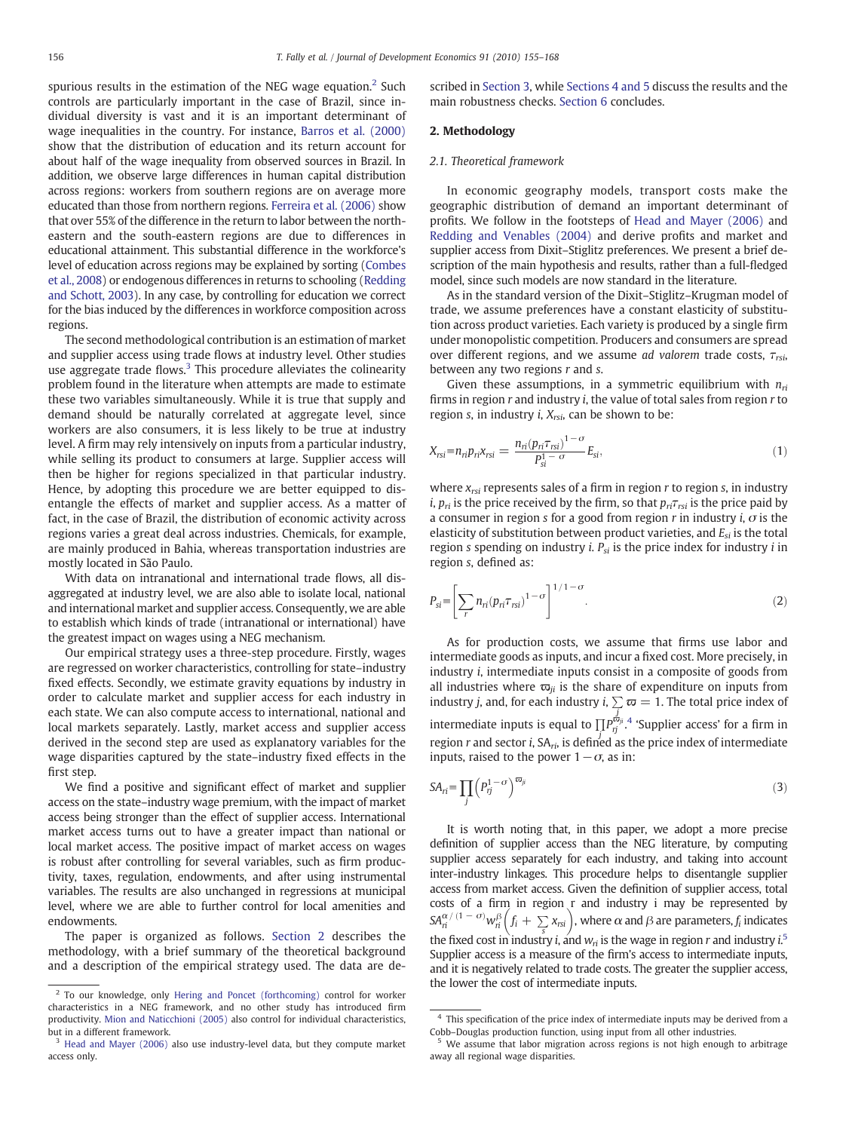<span id="page-1-0"></span>spurious results in the estimation of the NEG wage equation.<sup>2</sup> Such controls are particularly important in the case of Brazil, since individual diversity is vast and it is an important determinant of wage inequalities in the country. For instance, [Barros et al. \(2000\)](#page-13-0) show that the distribution of education and its return account for about half of the wage inequality from observed sources in Brazil. In addition, we observe large differences in human capital distribution across regions: workers from southern regions are on average more educated than those from northern regions. [Ferreira et al. \(2006\)](#page-13-0) show that over 55% of the difference in the return to labor between the northeastern and the south-eastern regions are due to differences in educational attainment. This substantial difference in the workforce's level of education across regions may be explained by sorting ([Combes](#page-13-0) [et al., 2008\)](#page-13-0) or endogenous differences in returns to schooling [\(Redding](#page-13-0) [and Schott, 2003\)](#page-13-0). In any case, by controlling for education we correct for the bias induced by the differences in workforce composition across regions.

The second methodological contribution is an estimation of market and supplier access using trade flows at industry level. Other studies use aggregate trade flows. $3$  This procedure alleviates the colinearity problem found in the literature when attempts are made to estimate these two variables simultaneously. While it is true that supply and demand should be naturally correlated at aggregate level, since workers are also consumers, it is less likely to be true at industry level. A firm may rely intensively on inputs from a particular industry, while selling its product to consumers at large. Supplier access will then be higher for regions specialized in that particular industry. Hence, by adopting this procedure we are better equipped to disentangle the effects of market and supplier access. As a matter of fact, in the case of Brazil, the distribution of economic activity across regions varies a great deal across industries. Chemicals, for example, are mainly produced in Bahia, whereas transportation industries are mostly located in São Paulo.

With data on intranational and international trade flows, all disaggregated at industry level, we are also able to isolate local, national and international market and supplier access. Consequently, we are able to establish which kinds of trade (intranational or international) have the greatest impact on wages using a NEG mechanism.

Our empirical strategy uses a three-step procedure. Firstly, wages are regressed on worker characteristics, controlling for state–industry fixed effects. Secondly, we estimate gravity equations by industry in order to calculate market and supplier access for each industry in each state. We can also compute access to international, national and local markets separately. Lastly, market access and supplier access derived in the second step are used as explanatory variables for the wage disparities captured by the state–industry fixed effects in the first step.

We find a positive and significant effect of market and supplier access on the state–industry wage premium, with the impact of market access being stronger than the effect of supplier access. International market access turns out to have a greater impact than national or local market access. The positive impact of market access on wages is robust after controlling for several variables, such as firm productivity, taxes, regulation, endowments, and after using instrumental variables. The results are also unchanged in regressions at municipal level, where we are able to further control for local amenities and endowments.

The paper is organized as follows. Section 2 describes the methodology, with a brief summary of the theoretical background and a description of the empirical strategy used. The data are described in [Section 3,](#page-3-0) while [Sections 4 and 5](#page-4-0) discuss the results and the main robustness checks. [Section 6](#page-11-0) concludes.

#### 2. Methodology

#### 2.1. Theoretical framework

In economic geography models, transport costs make the geographic distribution of demand an important determinant of profits. We follow in the footsteps of [Head and Mayer \(2006\)](#page-13-0) and [Redding and Venables \(2004\)](#page-13-0) and derive profits and market and supplier access from Dixit–Stiglitz preferences. We present a brief description of the main hypothesis and results, rather than a full-fledged model, since such models are now standard in the literature.

As in the standard version of the Dixit–Stiglitz–Krugman model of trade, we assume preferences have a constant elasticity of substitution across product varieties. Each variety is produced by a single firm under monopolistic competition. Producers and consumers are spread over different regions, and we assume ad valorem trade costs,  $\tau_{\rm rei}$ , between any two regions  $r$  and  $s$ .

Given these assumptions, in a symmetric equilibrium with  $n_{ri}$ firms in region r and industry i, the value of total sales from region r to region s, in industry  $i$ ,  $X_{rsi}$ , can be shown to be:

$$
X_{rsi} = n_{ri} p_{ri} x_{rsi} = \frac{n_{ri} (p_{ri} \tau_{rsi})^{1-\sigma}}{P_{si}^{1-\sigma}} E_{si},
$$
\n(1)

where  $x_{rsi}$  represents sales of a firm in region  $r$  to region  $s$ , in industry *i*,  $p_{ri}$  is the price received by the firm, so that  $p_{ri}\tau_{rsi}$  is the price paid by a consumer in region s for a good from region r in industry  $i$ ,  $\sigma$  is the elasticity of substitution between product varieties, and  $E_{si}$  is the total region s spending on industry *i*.  $P_{si}$  is the price index for industry *i* in region s, defined as:

$$
P_{si} = \left[\sum_{r} n_{ri} (p_{ri} \tau_{rsi})^{1-\sigma}\right]^{1/1-\sigma}.
$$
\n(2)

As for production costs, we assume that firms use labor and intermediate goods as inputs, and incur a fixed cost. More precisely, in industry i, intermediate inputs consist in a composite of goods from all industries where  $\varpi_{ji}$  is the share of expenditure on inputs from industry *j*, and, for each industry *i*,  $\sum \varpi = 1$ . The total price index of intermediate inputs is equal to  $\prod_{j=1}^{n} p_j^{\frac{1}{10}}$ . 'Supplier access' for a firm in region  $r$  and sector  $i$ , SA $_{ri}$ , is defined as the price index of intermediate inputs, raised to the power  $1-\sigma$ , as in:

$$
SA_{ri} = \prod_{j} \left( P_{ij}^{1-\sigma} \right)^{\varpi_{ji}} \tag{3}
$$

It is worth noting that, in this paper, we adopt a more precise definition of supplier access than the NEG literature, by computing supplier access separately for each industry, and taking into account inter-industry linkages. This procedure helps to disentangle supplier access from market access. Given the definition of supplier access, total costs of a firm in region  $r$  and industry i may be represented by  $SA_{ri}^{\alpha/(1-\sigma)}w_{ri}^{\beta}\left(f_i+\sum_{s}^{s}x_{rsi}\right)$ , where  $\alpha$  and  $\beta$  are parameters,  $f_i$  indicates the fixed cost in industry *i*, and  $w<sub>ri</sub>$  is the wage in region *r* and industry *i*.<sup>5</sup> Supplier access is a measure of the firm's access to intermediate inputs, and it is negatively related to trade costs. The greater the supplier access,

 $\frac{2}{10}$  To our knowledge, only [Hering and Poncet \(forthcoming\)](#page-13-0) control for worker characteristics in a NEG framework, and no other study has introduced firm productivity. [Mion and Naticchioni \(2005\)](#page-13-0) also control for individual characteristics, but in a different framework.

<sup>&</sup>lt;sup>3</sup> [Head and Mayer \(2006\)](#page-13-0) also use industry-level data, but they compute market access only.

<sup>&</sup>lt;sup>4</sup> This specification of the price index of intermediate inputs may be derived from a Cobb–Douglas production function, using input from all other industries.

<sup>5</sup> We assume that labor migration across regions is not high enough to arbitrage away all regional wage disparities.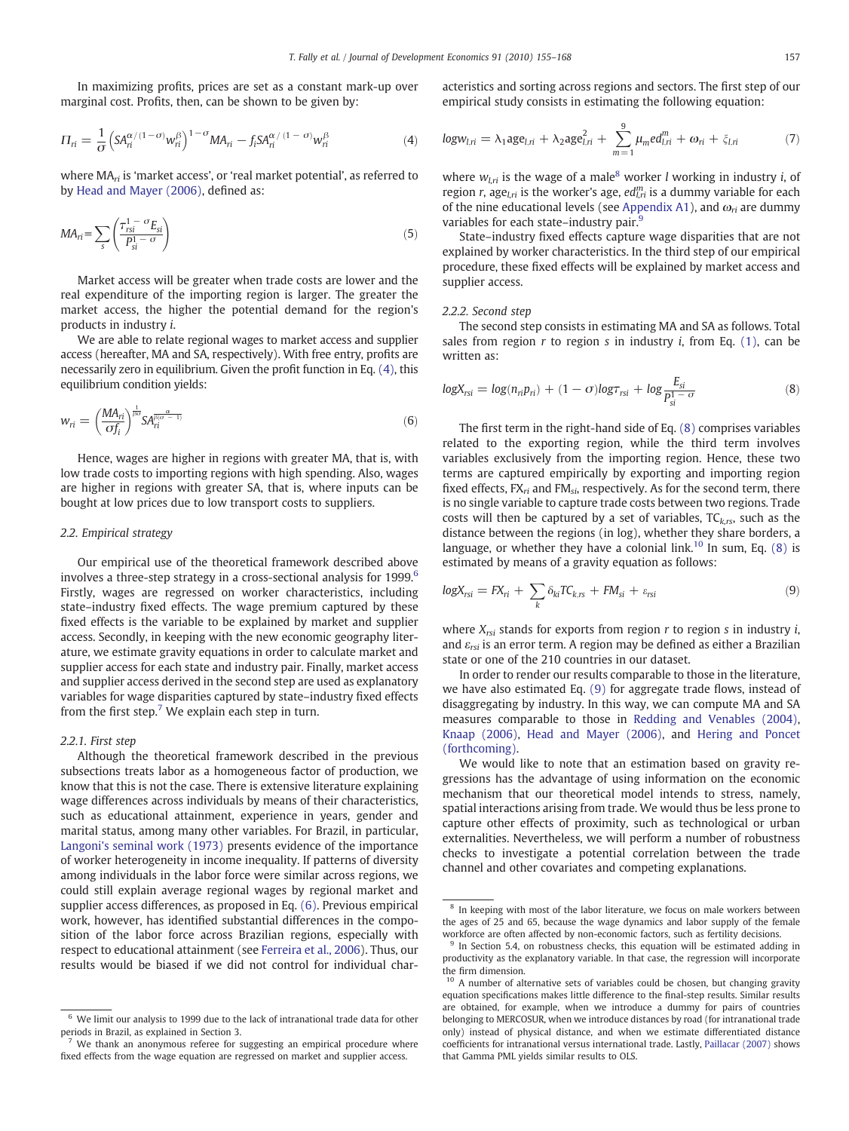<span id="page-2-0"></span>In maximizing profits, prices are set as a constant mark-up over marginal cost. Profits, then, can be shown to be given by:

$$
\Pi_{ri} = \frac{1}{\sigma} \left( S A_{ri}^{\alpha/(1-\sigma)} w_{ri}^{\beta} \right)^{1-\sigma} M A_{ri} - f_i S A_{ri}^{\alpha/(1-\sigma)} w_{ri}^{\beta} \tag{4}
$$

where  $MA_{ri}$  is 'market access', or 'real market potential', as referred to by [Head and Mayer \(2006\),](#page-13-0) defined as:

$$
MA_{ri} = \sum_{s} \left( \frac{\tau_{rsi}^{1 - \sigma} E_{si}}{P_{si}^{1 - \sigma}} \right)
$$
 (5)

Market access will be greater when trade costs are lower and the real expenditure of the importing region is larger. The greater the market access, the higher the potential demand for the region's products in industry i.

We are able to relate regional wages to market access and supplier access (hereafter, MA and SA, respectively). With free entry, profits are necessarily zero in equilibrium. Given the profit function in Eq. (4), this equilibrium condition yields:

$$
w_{ri} = \left(\frac{MA_{ri}}{\sigma f_i}\right)^{\frac{1}{\beta\sigma}} SA_{ri}^{\frac{\alpha}{\beta(\sigma-1)}}
$$
(6)

Hence, wages are higher in regions with greater MA, that is, with low trade costs to importing regions with high spending. Also, wages are higher in regions with greater SA, that is, where inputs can be bought at low prices due to low transport costs to suppliers.

#### 2.2. Empirical strategy

Our empirical use of the theoretical framework described above involves a three-step strategy in a cross-sectional analysis for 1999.<sup>6</sup> Firstly, wages are regressed on worker characteristics, including state–industry fixed effects. The wage premium captured by these fixed effects is the variable to be explained by market and supplier access. Secondly, in keeping with the new economic geography literature, we estimate gravity equations in order to calculate market and supplier access for each state and industry pair. Finally, market access and supplier access derived in the second step are used as explanatory variables for wage disparities captured by state–industry fixed effects from the first step.<sup>7</sup> We explain each step in turn.

#### 2.2.1. First step

Although the theoretical framework described in the previous subsections treats labor as a homogeneous factor of production, we know that this is not the case. There is extensive literature explaining wage differences across individuals by means of their characteristics, such as educational attainment, experience in years, gender and marital status, among many other variables. For Brazil, in particular, [Langoni's seminal work \(1973\)](#page-13-0) presents evidence of the importance of worker heterogeneity in income inequality. If patterns of diversity among individuals in the labor force were similar across regions, we could still explain average regional wages by regional market and supplier access differences, as proposed in Eq. (6). Previous empirical work, however, has identified substantial differences in the composition of the labor force across Brazilian regions, especially with respect to educational attainment (see [Ferreira et al., 2006\)](#page-13-0). Thus, our results would be biased if we did not control for individual characteristics and sorting across regions and sectors. The first step of our empirical study consists in estimating the following equation:

$$
log w_{l,ri} = \lambda_1 age_{l,ri} + \lambda_2 age_{l,ri}^2 + \sum_{m=1}^{9} \mu_m e d_{l,ri}^m + \omega_{ri} + \zeta_{l,ri}
$$
 (7)

where  $w_{l,n}$  is the wage of a male<sup>8</sup> worker *l* working in industry *i*, of region r, age<sub>l,ri</sub> is the worker's age, ed $_{l,n}^{m}$  is a dummy variable for each of the nine educational levels (see [Appendix A1\)](#page-12-0), and  $\omega_{ri}$  are dummy variables for each state–industry pair.<sup>9</sup>

State–industry fixed effects capture wage disparities that are not explained by worker characteristics. In the third step of our empirical procedure, these fixed effects will be explained by market access and supplier access.

#### 2.2.2. Second step

The second step consists in estimating MA and SA as follows. Total sales from region r to region s in industry *i*, from Eq.  $(1)$ , can be written as:

$$
logX_{rsi} = log(n_{ri}p_{ri}) + (1 - \sigma)log\tau_{rsi} + log\frac{E_{si}}{P_{si}^{1 - \sigma}}
$$
\n(8)

The first term in the right-hand side of Eq. (8) comprises variables related to the exporting region, while the third term involves variables exclusively from the importing region. Hence, these two terms are captured empirically by exporting and importing region fixed effects,  $FX_{ri}$  and  $FM_{si}$ , respectively. As for the second term, there is no single variable to capture trade costs between two regions. Trade costs will then be captured by a set of variables,  $TC_{k,rs}$ , such as the distance between the regions (in log), whether they share borders, a language, or whether they have a colonial link.<sup>10</sup> In sum, Eq.  $(8)$  is estimated by means of a gravity equation as follows:

$$
logX_{rsi} = FX_{ri} + \sum_{k} \delta_{ki}TC_{k,rs} + FM_{si} + \varepsilon_{rsi}
$$
 (9)

where  $X_{\text{rel}}$  stands for exports from region r to region s in industry *i*, and  $\varepsilon_{\rm rei}$  is an error term. A region may be defined as either a Brazilian state or one of the 210 countries in our dataset.

In order to render our results comparable to those in the literature, we have also estimated Eq. (9) for aggregate trade flows, instead of disaggregating by industry. In this way, we can compute MA and SA measures comparable to those in [Redding and Venables \(2004\),](#page-13-0) [Knaap \(2006\)](#page-13-0), [Head and Mayer \(2006\),](#page-13-0) and [Hering and Poncet](#page-13-0) [\(forthcoming\)](#page-13-0).

We would like to note that an estimation based on gravity regressions has the advantage of using information on the economic mechanism that our theoretical model intends to stress, namely, spatial interactions arising from trade. We would thus be less prone to capture other effects of proximity, such as technological or urban externalities. Nevertheless, we will perform a number of robustness checks to investigate a potential correlation between the trade channel and other covariates and competing explanations.

 $^6\,$  We limit our analysis to 1999 due to the lack of intranational trade data for other periods in Brazil, as explained in Section 3.

 $7$  We thank an anonymous referee for suggesting an empirical procedure where fixed effects from the wage equation are regressed on market and supplier access.

<sup>&</sup>lt;sup>8</sup> In keeping with most of the labor literature, we focus on male workers between the ages of 25 and 65, because the wage dynamics and labor supply of the female workforce are often affected by non-economic factors, such as fertility decisions.

<sup>&</sup>lt;sup>9</sup> In Section 5.4, on robustness checks, this equation will be estimated adding in productivity as the explanatory variable. In that case, the regression will incorporate the firm dimension.

<sup>&</sup>lt;sup>10</sup> A number of alternative sets of variables could be chosen, but changing gravity equation specifications makes little difference to the final-step results. Similar results are obtained, for example, when we introduce a dummy for pairs of countries belonging to MERCOSUR, when we introduce distances by road (for intranational trade only) instead of physical distance, and when we estimate differentiated distance coefficients for intranational versus international trade. Lastly, [Paillacar \(2007\)](#page-13-0) shows that Gamma PML yields similar results to OLS.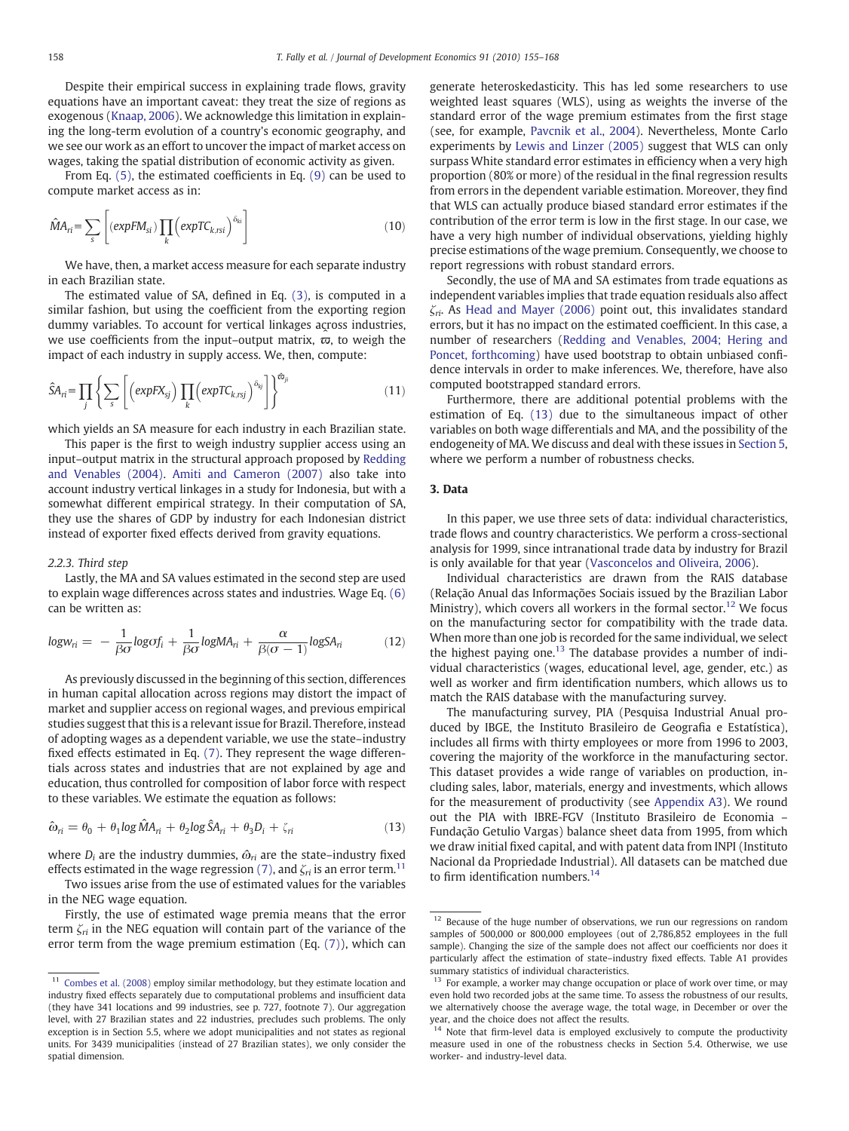<span id="page-3-0"></span>Despite their empirical success in explaining trade flows, gravity equations have an important caveat: they treat the size of regions as exogenous ([Knaap, 2006\)](#page-13-0). We acknowledge this limitation in explaining the long-term evolution of a country's economic geography, and we see our work as an effort to uncover the impact of market access on wages, taking the spatial distribution of economic activity as given.

From Eq. (5), the estimated coefficients in Eq. (9) can be used to compute market access as in:

$$
\hat{M}A_{ri} = \sum_{s} \left[ (expFM_{si}) \prod_{k} \left( expTC_{k,rsi} \right)^{\delta_{ki}} \right] \tag{10}
$$

We have, then, a market access measure for each separate industry in each Brazilian state.

The estimated value of SA, defined in Eq. (3), is computed in a similar fashion, but using the coefficient from the exporting region dummy variables. To account for vertical linkages across industries, we use coefficients from the input–output matrix,  $\hat{\sigma}$ , to weigh the impact of each industry in supply access. We, then, compute:

$$
\hat{S}A_{ri} = \prod_{j} \left\{ \sum_{s} \left[ \left( \exp FX_{sj} \right) \prod_{k} \left( \exp TC_{k,rsj} \right)^{\delta_{kj}} \right] \right\}^{\widehat{\sigma}_{ji}} \tag{11}
$$

which yields an SA measure for each industry in each Brazilian state.

This paper is the first to weigh industry supplier access using an input–output matrix in the structural approach proposed by [Redding](#page-13-0) [and Venables \(2004\).](#page-13-0) [Amiti and Cameron \(2007\)](#page-13-0) also take into account industry vertical linkages in a study for Indonesia, but with a somewhat different empirical strategy. In their computation of SA, they use the shares of GDP by industry for each Indonesian district instead of exporter fixed effects derived from gravity equations.

#### 2.2.3. Third step

Lastly, the MA and SA values estimated in the second step are used to explain wage differences across states and industries. Wage Eq. (6) can be written as:

$$
log w_{ri} = -\frac{1}{\beta \sigma} log \sigma f_i + \frac{1}{\beta \sigma} log MA_{ri} + \frac{\alpha}{\beta (\sigma - 1)} log SA_{ri}
$$
 (12)

As previously discussed in the beginning of this section, differences in human capital allocation across regions may distort the impact of market and supplier access on regional wages, and previous empirical studies suggest that this is a relevant issue for Brazil. Therefore, instead of adopting wages as a dependent variable, we use the state–industry fixed effects estimated in Eq. (7). They represent the wage differentials across states and industries that are not explained by age and education, thus controlled for composition of labor force with respect to these variables. We estimate the equation as follows:

$$
\hat{\omega}_{ri} = \theta_0 + \theta_1 \log \hat{M} A_{ri} + \theta_2 \log \hat{S} A_{ri} + \theta_3 D_i + \zeta_{ri}
$$
\n(13)

where  $D_i$  are the industry dummies,  $\hat{\omega}_{ri}$  are the state–industry fixed effects estimated in the wage regression (7), and  $\zeta_{ri}$  is an error term.<sup>11</sup>

Two issues arise from the use of estimated values for the variables in the NEG wage equation.

Firstly, the use of estimated wage premia means that the error term  $\zeta_{ri}$  in the NEG equation will contain part of the variance of the error term from the wage premium estimation (Eq. (7)), which can generate heteroskedasticity. This has led some researchers to use weighted least squares (WLS), using as weights the inverse of the standard error of the wage premium estimates from the first stage (see, for example, [Pavcnik et al., 2004](#page-13-0)). Nevertheless, Monte Carlo experiments by [Lewis and Linzer \(2005\)](#page-13-0) suggest that WLS can only surpass White standard error estimates in efficiency when a very high proportion (80% or more) of the residual in the final regression results from errors in the dependent variable estimation. Moreover, they find that WLS can actually produce biased standard error estimates if the contribution of the error term is low in the first stage. In our case, we have a very high number of individual observations, yielding highly precise estimations of the wage premium. Consequently, we choose to report regressions with robust standard errors.

Secondly, the use of MA and SA estimates from trade equations as independent variables implies that trade equation residuals also affect  $\zeta_{ri}$ . As [Head and Mayer \(2006\)](#page-13-0) point out, this invalidates standard errors, but it has no impact on the estimated coefficient. In this case, a number of researchers [\(Redding and Venables, 2004; Hering and](#page-13-0) [Poncet, forthcoming\)](#page-13-0) have used bootstrap to obtain unbiased confidence intervals in order to make inferences. We, therefore, have also computed bootstrapped standard errors.

Furthermore, there are additional potential problems with the estimation of Eq. (13) due to the simultaneous impact of other variables on both wage differentials and MA, and the possibility of the endogeneity of MA. We discuss and deal with these issues in [Section 5,](#page-8-0) where we perform a number of robustness checks.

#### 3. Data

In this paper, we use three sets of data: individual characteristics, trade flows and country characteristics. We perform a cross-sectional analysis for 1999, since intranational trade data by industry for Brazil is only available for that year [\(Vasconcelos and Oliveira, 2006](#page-13-0)).

Individual characteristics are drawn from the RAIS database (Relação Anual das Informações Sociais issued by the Brazilian Labor Ministry), which covers all workers in the formal sector.<sup>12</sup> We focus on the manufacturing sector for compatibility with the trade data. When more than one job is recorded for the same individual, we select the highest paying one.<sup>13</sup> The database provides a number of individual characteristics (wages, educational level, age, gender, etc.) as well as worker and firm identification numbers, which allows us to match the RAIS database with the manufacturing survey.

The manufacturing survey, PIA (Pesquisa Industrial Anual produced by IBGE, the Instituto Brasileiro de Geografia e Estatística), includes all firms with thirty employees or more from 1996 to 2003, covering the majority of the workforce in the manufacturing sector. This dataset provides a wide range of variables on production, including sales, labor, materials, energy and investments, which allows for the measurement of productivity (see [Appendix A3](#page-12-0)). We round out the PIA with IBRE-FGV (Instituto Brasileiro de Economia – Fundação Getulio Vargas) balance sheet data from 1995, from which we draw initial fixed capital, and with patent data from INPI (Instituto Nacional da Propriedade Industrial). All datasets can be matched due to firm identification numbers.<sup>14</sup>

 $^{11}\,$  [Combes et al. \(2008\)](#page-13-0) employ similar methodology, but they estimate location and industry fixed effects separately due to computational problems and insufficient data (they have 341 locations and 99 industries, see p. 727, footnote 7). Our aggregation level, with 27 Brazilian states and 22 industries, precludes such problems. The only exception is in Section 5.5, where we adopt municipalities and not states as regional units. For 3439 municipalities (instead of 27 Brazilian states), we only consider the spatial dimension.

<sup>&</sup>lt;sup>12</sup> Because of the huge number of observations, we run our regressions on random samples of 500,000 or 800,000 employees (out of 2,786,852 employees in the full sample). Changing the size of the sample does not affect our coefficients nor does it particularly affect the estimation of state–industry fixed effects. Table A1 provides summary statistics of individual characteristics.

<sup>&</sup>lt;sup>13</sup> For example, a worker may change occupation or place of work over time, or may even hold two recorded jobs at the same time. To assess the robustness of our results, we alternatively choose the average wage, the total wage, in December or over the year, and the choice does not affect the results.

<sup>&</sup>lt;sup>14</sup> Note that firm-level data is employed exclusively to compute the productivity measure used in one of the robustness checks in Section 5.4. Otherwise, we use worker- and industry-level data.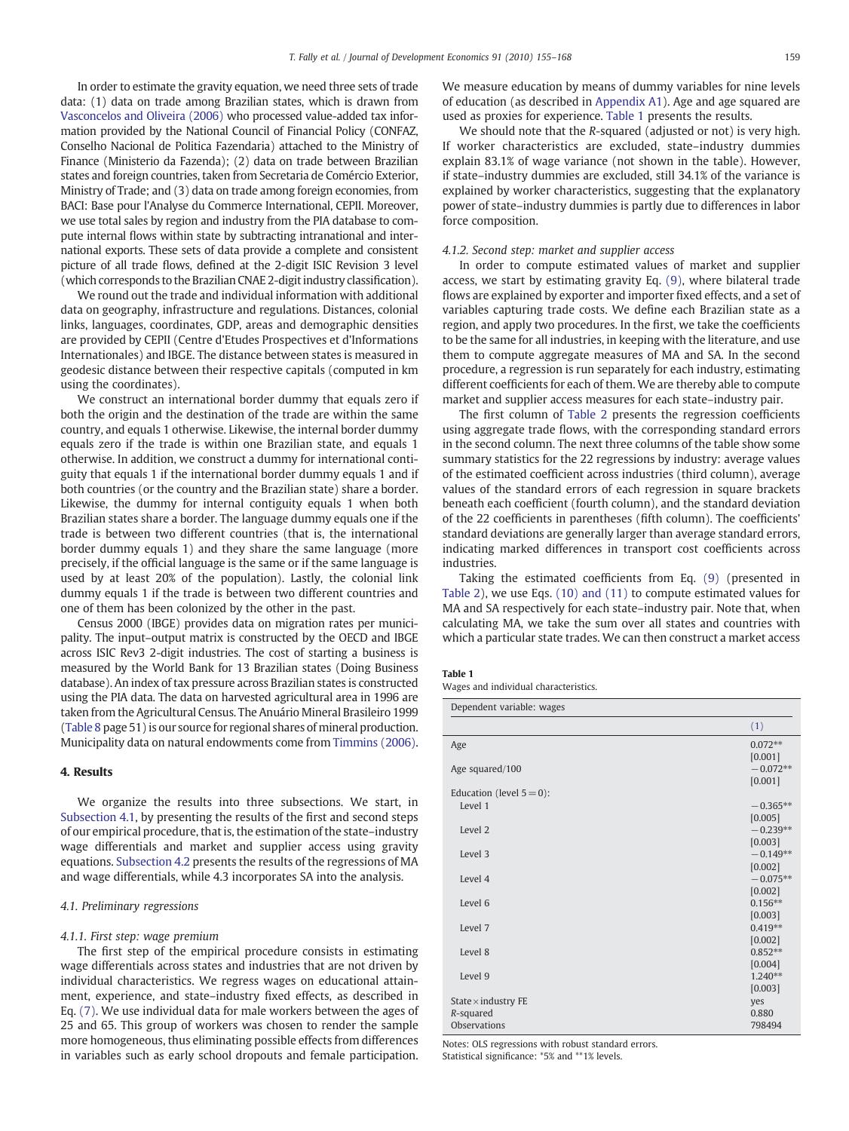<span id="page-4-0"></span>In order to estimate the gravity equation, we need three sets of trade data: (1) data on trade among Brazilian states, which is drawn from [Vasconcelos and Oliveira \(2006\)](#page-13-0) who processed value-added tax information provided by the National Council of Financial Policy (CONFAZ, Conselho Nacional de Politica Fazendaria) attached to the Ministry of Finance (Ministerio da Fazenda); (2) data on trade between Brazilian states and foreign countries, taken from Secretaria de Comércio Exterior, Ministry of Trade; and (3) data on trade among foreign economies, from BACI: Base pour l'Analyse du Commerce International, CEPII. Moreover, we use total sales by region and industry from the PIA database to compute internal flows within state by subtracting intranational and international exports. These sets of data provide a complete and consistent picture of all trade flows, defined at the 2-digit ISIC Revision 3 level (which corresponds to the Brazilian CNAE 2-digit industry classification).

We round out the trade and individual information with additional data on geography, infrastructure and regulations. Distances, colonial links, languages, coordinates, GDP, areas and demographic densities are provided by CEPII (Centre d'Etudes Prospectives et d'Informations Internationales) and IBGE. The distance between states is measured in geodesic distance between their respective capitals (computed in km using the coordinates).

We construct an international border dummy that equals zero if both the origin and the destination of the trade are within the same country, and equals 1 otherwise. Likewise, the internal border dummy equals zero if the trade is within one Brazilian state, and equals 1 otherwise. In addition, we construct a dummy for international contiguity that equals 1 if the international border dummy equals 1 and if both countries (or the country and the Brazilian state) share a border. Likewise, the dummy for internal contiguity equals 1 when both Brazilian states share a border. The language dummy equals one if the trade is between two different countries (that is, the international border dummy equals 1) and they share the same language (more precisely, if the official language is the same or if the same language is used by at least 20% of the population). Lastly, the colonial link dummy equals 1 if the trade is between two different countries and one of them has been colonized by the other in the past.

Census 2000 (IBGE) provides data on migration rates per municipality. The input–output matrix is constructed by the OECD and IBGE across ISIC Rev3 2-digit industries. The cost of starting a business is measured by the World Bank for 13 Brazilian states (Doing Business database). An index of tax pressure across Brazilian states is constructed using the PIA data. The data on harvested agricultural area in 1996 are taken from the Agricultural Census. The Anuário Mineral Brasileiro 1999 [\(Table 8](#page-10-0) page 51) is our source for regional shares of mineral production. Municipality data on natural endowments come from [Timmins \(2006\).](#page-13-0)

#### 4. Results

We organize the results into three subsections. We start, in Subsection 4.1, by presenting the results of the first and second steps of our empirical procedure, that is, the estimation of the state–industry wage differentials and market and supplier access using gravity equations. [Subsection 4.2](#page-5-0) presents the results of the regressions of MA and wage differentials, while 4.3 incorporates SA into the analysis.

#### 4.1. Preliminary regressions

#### 4.1.1. First step: wage premium

The first step of the empirical procedure consists in estimating wage differentials across states and industries that are not driven by individual characteristics. We regress wages on educational attainment, experience, and state–industry fixed effects, as described in Eq. (7). We use individual data for male workers between the ages of 25 and 65. This group of workers was chosen to render the sample more homogeneous, thus eliminating possible effects from differences in variables such as early school dropouts and female participation.

We measure education by means of dummy variables for nine levels of education (as described in [Appendix A1\)](#page-12-0). Age and age squared are used as proxies for experience. Table 1 presents the results.

We should note that the R-squared (adjusted or not) is very high. If worker characteristics are excluded, state–industry dummies explain 83.1% of wage variance (not shown in the table). However, if state–industry dummies are excluded, still 34.1% of the variance is explained by worker characteristics, suggesting that the explanatory power of state–industry dummies is partly due to differences in labor force composition.

#### 4.1.2. Second step: market and supplier access

In order to compute estimated values of market and supplier access, we start by estimating gravity Eq. (9), where bilateral trade flows are explained by exporter and importer fixed effects, and a set of variables capturing trade costs. We define each Brazilian state as a region, and apply two procedures. In the first, we take the coefficients to be the same for all industries, in keeping with the literature, and use them to compute aggregate measures of MA and SA. In the second procedure, a regression is run separately for each industry, estimating different coefficients for each of them. We are thereby able to compute market and supplier access measures for each state–industry pair.

The first column of [Table 2](#page-5-0) presents the regression coefficients using aggregate trade flows, with the corresponding standard errors in the second column. The next three columns of the table show some summary statistics for the 22 regressions by industry: average values of the estimated coefficient across industries (third column), average values of the standard errors of each regression in square brackets beneath each coefficient (fourth column), and the standard deviation of the 22 coefficients in parentheses (fifth column). The coefficients' standard deviations are generally larger than average standard errors, indicating marked differences in transport cost coefficients across industries.

Taking the estimated coefficients from Eq. (9) (presented in [Table 2](#page-5-0)), we use Eqs. (10) and (11) to compute estimated values for MA and SA respectively for each state–industry pair. Note that, when calculating MA, we take the sum over all states and countries with which a particular state trades. We can then construct a market access

#### Table 1

Wages and individual characteristics.

Dependent variable: was

| DUPUNULIIL VAHADIU. WAZUS   |            |
|-----------------------------|------------|
|                             | (1)        |
| Age                         | $0.072**$  |
|                             | [0.001]    |
| Age squared/100             | $-0.072**$ |
|                             | [0.001]    |
| Education (level $5 = 0$ ): |            |
| Level 1                     | $-0.365**$ |
|                             | [0.005]    |
| Level <sub>2</sub>          | $-0.239**$ |
|                             | [0.003]    |
| Level 3                     | $-0.149**$ |
|                             | [0.002]    |
| Level 4                     | $-0.075**$ |
|                             | [0.002]    |
| Level 6                     | $0.156**$  |
|                             | [0.003]    |
| Level 7                     | $0.419**$  |
|                             | [0.002]    |
| Level 8                     | $0.852**$  |
|                             | [0.004]    |
| Level 9                     | $1.240**$  |
|                             | [0.003]    |
| State $\times$ industry FE  | yes        |
| R-squared                   | 0.880      |
| <b>Observations</b>         | 798494     |

Notes: OLS regressions with robust standard errors. Statistical significance: \*5% and \*\*1% levels.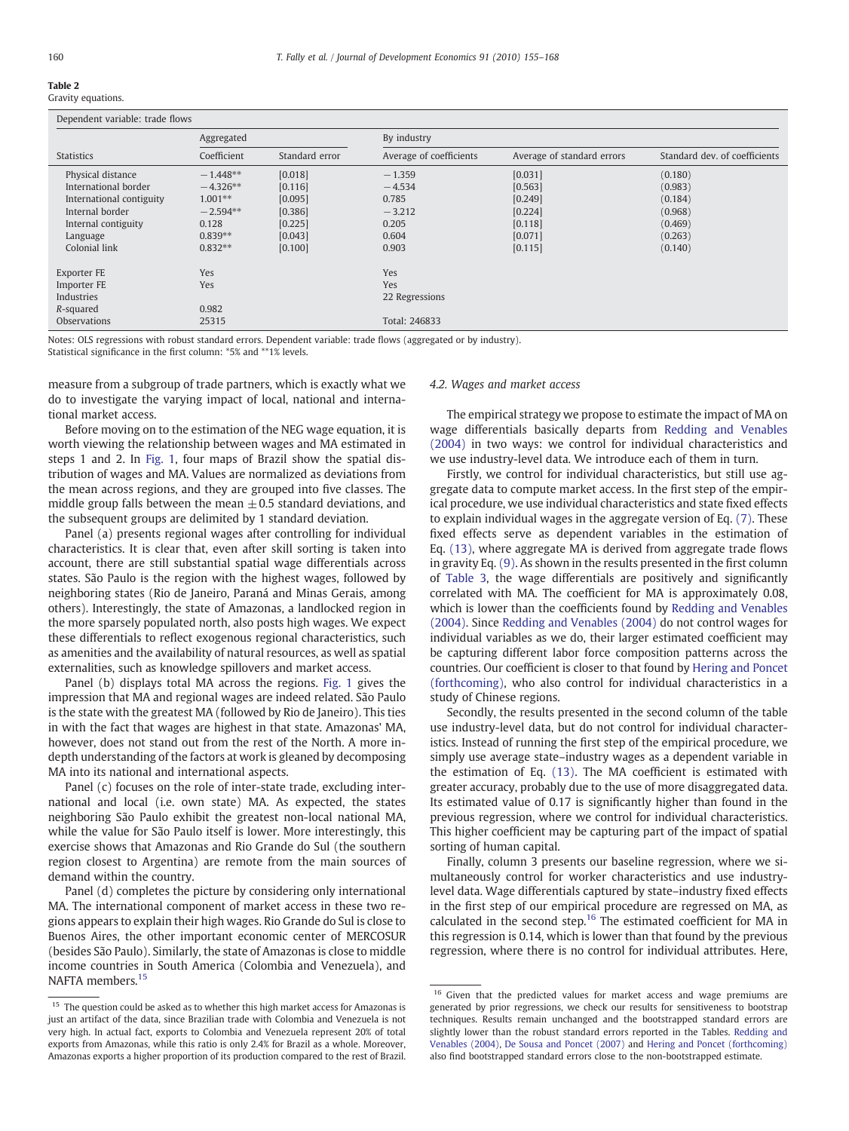<span id="page-5-0"></span>

| Table 2 |                    |
|---------|--------------------|
|         | Gravity equations. |

Dependent variable: trade flows

| Dependent variable: trade flows |             |                |                         |                            |                               |
|---------------------------------|-------------|----------------|-------------------------|----------------------------|-------------------------------|
|                                 | Aggregated  |                | By industry             |                            |                               |
| <b>Statistics</b>               | Coefficient | Standard error | Average of coefficients | Average of standard errors | Standard dev. of coefficients |
| Physical distance               | $-1.448**$  | [0.018]        | $-1.359$                | [0.031]                    | (0.180)                       |
| International border            | $-4.326**$  | [0.116]        | $-4.534$                | [0.563]                    | (0.983)                       |
| International contiguity        | $1.001**$   | [0.095]        | 0.785                   | [0.249]                    | (0.184)                       |
| Internal border                 | $-2.594**$  | [0.386]        | $-3.212$                | [0.224]                    | (0.968)                       |
| Internal contiguity             | 0.128       | [0.225]        | 0.205                   | [0.118]                    | (0.469)                       |
| Language                        | $0.839**$   | [0.043]        | 0.604                   | [0.071]                    | (0.263)                       |
| Colonial link                   | $0.832**$   | [0.100]        | 0.903                   | [0.115]                    | (0.140)                       |
| Exporter FE                     | Yes         |                | Yes                     |                            |                               |
| Importer FE                     | <b>Yes</b>  |                | Yes                     |                            |                               |
| Industries                      |             |                | 22 Regressions          |                            |                               |
| R-squared                       | 0.982       |                |                         |                            |                               |
| <b>Observations</b>             | 25315       |                | Total: 246833           |                            |                               |

Notes: OLS regressions with robust standard errors. Dependent variable: trade flows (aggregated or by industry).

Statistical significance in the first column: \*5% and \*\*1% levels.

measure from a subgroup of trade partners, which is exactly what we do to investigate the varying impact of local, national and international market access.

Before moving on to the estimation of the NEG wage equation, it is worth viewing the relationship between wages and MA estimated in steps 1 and 2. In [Fig. 1,](#page-6-0) four maps of Brazil show the spatial distribution of wages and MA. Values are normalized as deviations from the mean across regions, and they are grouped into five classes. The middle group falls between the mean  $\pm$  0.5 standard deviations, and the subsequent groups are delimited by 1 standard deviation.

Panel (a) presents regional wages after controlling for individual characteristics. It is clear that, even after skill sorting is taken into account, there are still substantial spatial wage differentials across states. São Paulo is the region with the highest wages, followed by neighboring states (Rio de Janeiro, Paraná and Minas Gerais, among others). Interestingly, the state of Amazonas, a landlocked region in the more sparsely populated north, also posts high wages. We expect these differentials to reflect exogenous regional characteristics, such as amenities and the availability of natural resources, as well as spatial externalities, such as knowledge spillovers and market access.

Panel (b) displays total MA across the regions. [Fig. 1](#page-6-0) gives the impression that MA and regional wages are indeed related. São Paulo is the state with the greatest MA (followed by Rio de Janeiro). This ties in with the fact that wages are highest in that state. Amazonas' MA, however, does not stand out from the rest of the North. A more indepth understanding of the factors at work is gleaned by decomposing MA into its national and international aspects.

Panel (c) focuses on the role of inter-state trade, excluding international and local (i.e. own state) MA. As expected, the states neighboring São Paulo exhibit the greatest non-local national MA, while the value for São Paulo itself is lower. More interestingly, this exercise shows that Amazonas and Rio Grande do Sul (the southern region closest to Argentina) are remote from the main sources of demand within the country.

Panel (d) completes the picture by considering only international MA. The international component of market access in these two regions appears to explain their high wages. Rio Grande do Sul is close to Buenos Aires, the other important economic center of MERCOSUR (besides São Paulo). Similarly, the state of Amazonas is close to middle income countries in South America (Colombia and Venezuela), and NAFTA members.<sup>15</sup>

#### 4.2. Wages and market access

The empirical strategy we propose to estimate the impact of MA on wage differentials basically departs from [Redding and Venables](#page-13-0) [\(2004\)](#page-13-0) in two ways: we control for individual characteristics and we use industry-level data. We introduce each of them in turn.

Firstly, we control for individual characteristics, but still use aggregate data to compute market access. In the first step of the empirical procedure, we use individual characteristics and state fixed effects to explain individual wages in the aggregate version of Eq. (7). These fixed effects serve as dependent variables in the estimation of Eq. (13), where aggregate MA is derived from aggregate trade flows in gravity Eq. (9). As shown in the results presented in the first column of [Table 3](#page-7-0), the wage differentials are positively and significantly correlated with MA. The coefficient for MA is approximately 0.08, which is lower than the coefficients found by [Redding and Venables](#page-13-0) [\(2004\).](#page-13-0) Since [Redding and Venables \(2004\)](#page-13-0) do not control wages for individual variables as we do, their larger estimated coefficient may be capturing different labor force composition patterns across the countries. Our coefficient is closer to that found by [Hering and Poncet](#page-13-0) [\(forthcoming\),](#page-13-0) who also control for individual characteristics in a study of Chinese regions.

Secondly, the results presented in the second column of the table use industry-level data, but do not control for individual characteristics. Instead of running the first step of the empirical procedure, we simply use average state–industry wages as a dependent variable in the estimation of Eq. (13). The MA coefficient is estimated with greater accuracy, probably due to the use of more disaggregated data. Its estimated value of 0.17 is significantly higher than found in the previous regression, where we control for individual characteristics. This higher coefficient may be capturing part of the impact of spatial sorting of human capital.

Finally, column 3 presents our baseline regression, where we simultaneously control for worker characteristics and use industrylevel data. Wage differentials captured by state–industry fixed effects in the first step of our empirical procedure are regressed on MA, as calculated in the second step.<sup>16</sup> The estimated coefficient for MA in this regression is 0.14, which is lower than that found by the previous regression, where there is no control for individual attributes. Here,

 $15$  The question could be asked as to whether this high market access for Amazonas is just an artifact of the data, since Brazilian trade with Colombia and Venezuela is not very high. In actual fact, exports to Colombia and Venezuela represent 20% of total exports from Amazonas, while this ratio is only 2.4% for Brazil as a whole. Moreover, Amazonas exports a higher proportion of its production compared to the rest of Brazil.

<sup>&</sup>lt;sup>16</sup> Given that the predicted values for market access and wage premiums are generated by prior regressions, we check our results for sensitiveness to bootstrap techniques. Results remain unchanged and the bootstrapped standard errors are slightly lower than the robust standard errors reported in the Tables. [Redding and](#page-13-0) [Venables \(2004\)](#page-13-0), [De Sousa and Poncet \(2007\)](#page-13-0) and [Hering and Poncet \(forthcoming\)](#page-13-0) also find bootstrapped standard errors close to the non-bootstrapped estimate.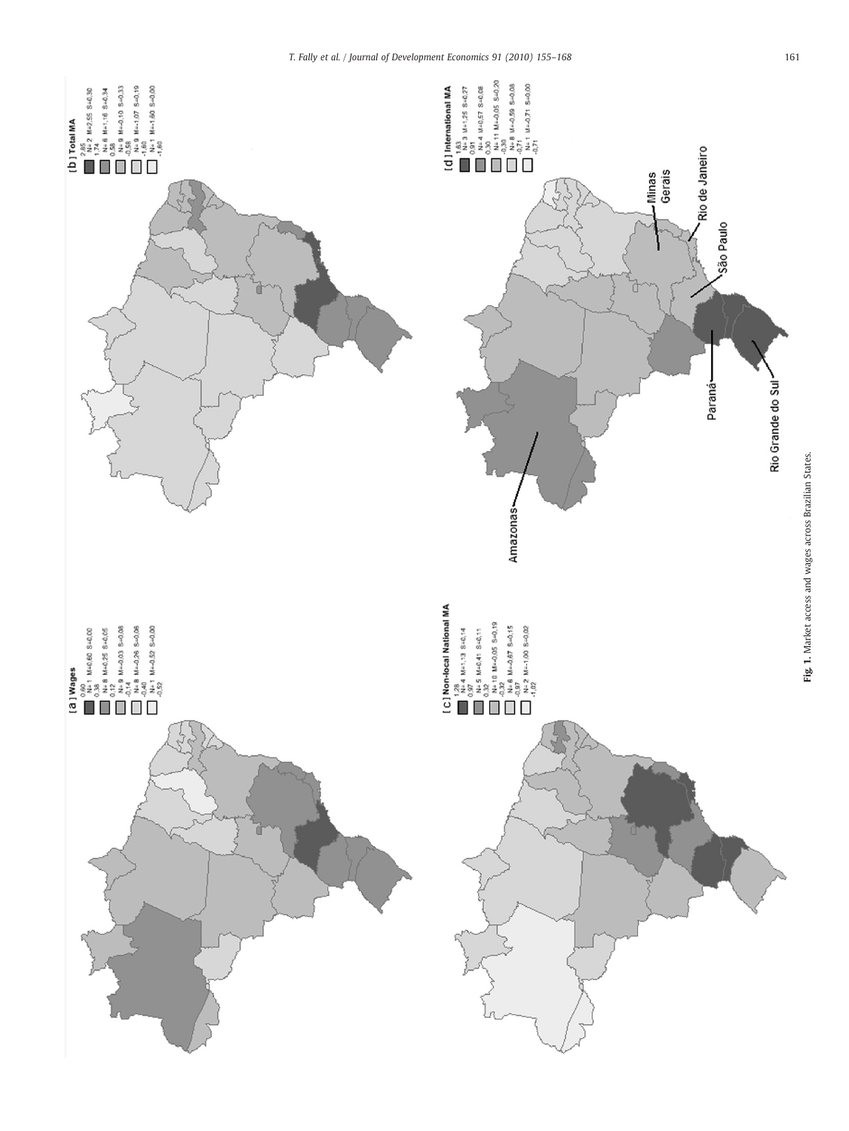<span id="page-6-0"></span>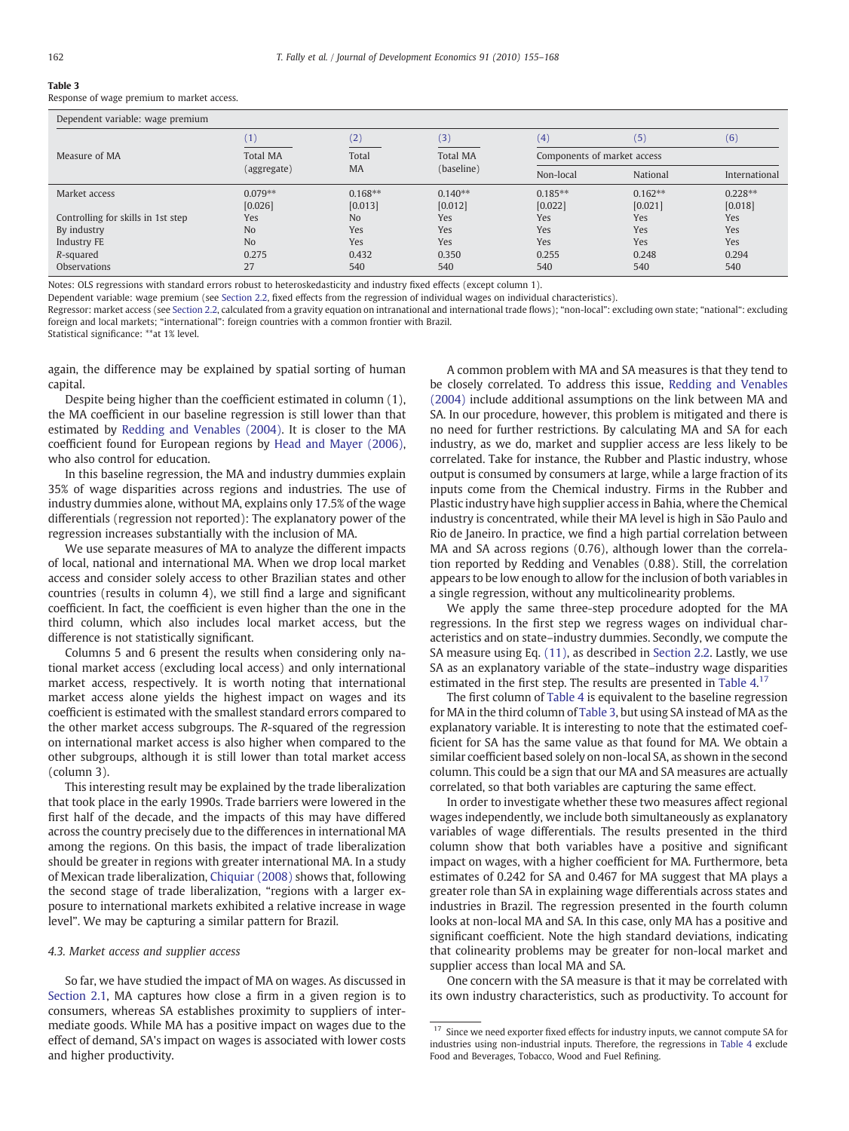#### <span id="page-7-0"></span>Table 3

Response of wage premium to market access.

| Dependent variable: wage premium   |                      |                      |                      |                             |                      |                      |
|------------------------------------|----------------------|----------------------|----------------------|-----------------------------|----------------------|----------------------|
|                                    | (1)                  | $\left( 2\right)$    | (3)                  | (4)                         | (5)                  | (6)                  |
| Measure of MA                      | <b>Total MA</b>      | Total                | <b>Total MA</b>      | Components of market access |                      |                      |
|                                    | (aggregate)          | <b>MA</b>            | (baseline)           | Non-local                   | National             | International        |
| Market access                      | $0.079**$<br>[0.026] | $0.168**$<br>[0.013] | $0.140**$<br>[0.012] | $0.185**$<br>[0.022]        | $0.162**$<br>[0.021] | $0.228**$<br>[0.018] |
| Controlling for skills in 1st step | Yes                  | N <sub>o</sub>       | Yes                  | Yes                         | Yes                  | Yes                  |
| By industry                        | N <sub>o</sub>       | Yes                  | Yes                  | Yes                         | Yes                  | Yes                  |
| Industry FE                        | N <sub>o</sub>       | Yes                  | Yes                  | Yes                         | Yes                  | Yes                  |
| R-squared                          | 0.275                | 0.432                | 0.350                | 0.255                       | 0.248                | 0.294                |
| <b>Observations</b>                | 27                   | 540                  | 540                  | 540                         | 540                  | 540                  |

Notes: OLS regressions with standard errors robust to heteroskedasticity and industry fixed effects (except column 1).

Dependent variable: wage premium (see [Section 2.2,](#page-2-0) fixed effects from the regression of individual wages on individual characteristics).

Regressor: market access (see [Section 2.2,](#page-2-0) calculated from a gravity equation on intranational and international trade flows); "non-local": excluding own state; "national": excluding foreign and local markets; "international": foreign countries with a common frontier with Brazil.

Statistical significance: \*\*at 1% level.

again, the difference may be explained by spatial sorting of human capital.

Despite being higher than the coefficient estimated in column (1), the MA coefficient in our baseline regression is still lower than that estimated by [Redding and Venables \(2004\).](#page-13-0) It is closer to the MA coefficient found for European regions by [Head and Mayer \(2006\),](#page-13-0) who also control for education.

In this baseline regression, the MA and industry dummies explain 35% of wage disparities across regions and industries. The use of industry dummies alone, without MA, explains only 17.5% of the wage differentials (regression not reported): The explanatory power of the regression increases substantially with the inclusion of MA.

We use separate measures of MA to analyze the different impacts of local, national and international MA. When we drop local market access and consider solely access to other Brazilian states and other countries (results in column 4), we still find a large and significant coefficient. In fact, the coefficient is even higher than the one in the third column, which also includes local market access, but the difference is not statistically significant.

Columns 5 and 6 present the results when considering only national market access (excluding local access) and only international market access, respectively. It is worth noting that international market access alone yields the highest impact on wages and its coefficient is estimated with the smallest standard errors compared to the other market access subgroups. The R-squared of the regression on international market access is also higher when compared to the other subgroups, although it is still lower than total market access (column 3).

This interesting result may be explained by the trade liberalization that took place in the early 1990s. Trade barriers were lowered in the first half of the decade, and the impacts of this may have differed across the country precisely due to the differences in international MA among the regions. On this basis, the impact of trade liberalization should be greater in regions with greater international MA. In a study of Mexican trade liberalization, [Chiquiar \(2008\)](#page-13-0) shows that, following the second stage of trade liberalization, "regions with a larger exposure to international markets exhibited a relative increase in wage level". We may be capturing a similar pattern for Brazil.

#### 4.3. Market access and supplier access

So far, we have studied the impact of MA on wages. As discussed in [Section 2.1,](#page-1-0) MA captures how close a firm in a given region is to consumers, whereas SA establishes proximity to suppliers of intermediate goods. While MA has a positive impact on wages due to the effect of demand, SA's impact on wages is associated with lower costs and higher productivity.

A common problem with MA and SA measures is that they tend to be closely correlated. To address this issue, [Redding and Venables](#page-13-0) [\(2004\)](#page-13-0) include additional assumptions on the link between MA and SA. In our procedure, however, this problem is mitigated and there is no need for further restrictions. By calculating MA and SA for each industry, as we do, market and supplier access are less likely to be correlated. Take for instance, the Rubber and Plastic industry, whose output is consumed by consumers at large, while a large fraction of its inputs come from the Chemical industry. Firms in the Rubber and Plastic industry have high supplier access in Bahia, where the Chemical industry is concentrated, while their MA level is high in São Paulo and Rio de Janeiro. In practice, we find a high partial correlation between MA and SA across regions (0.76), although lower than the correlation reported by Redding and Venables (0.88). Still, the correlation appears to be low enough to allow for the inclusion of both variables in a single regression, without any multicolinearity problems.

We apply the same three-step procedure adopted for the MA regressions. In the first step we regress wages on individual characteristics and on state–industry dummies. Secondly, we compute the SA measure using Eq. (11), as described in [Section 2.2](#page-2-0). Lastly, we use SA as an explanatory variable of the state–industry wage disparities estimated in the first step. The results are presented in [Table 4.](#page-8-0)<sup>17</sup>

The first column of [Table 4](#page-8-0) is equivalent to the baseline regression for MA in the third column of Table 3, but using SA instead of MA as the explanatory variable. It is interesting to note that the estimated coefficient for SA has the same value as that found for MA. We obtain a similar coefficient based solely on non-local SA, as shown in the second column. This could be a sign that our MA and SA measures are actually correlated, so that both variables are capturing the same effect.

In order to investigate whether these two measures affect regional wages independently, we include both simultaneously as explanatory variables of wage differentials. The results presented in the third column show that both variables have a positive and significant impact on wages, with a higher coefficient for MA. Furthermore, beta estimates of 0.242 for SA and 0.467 for MA suggest that MA plays a greater role than SA in explaining wage differentials across states and industries in Brazil. The regression presented in the fourth column looks at non-local MA and SA. In this case, only MA has a positive and significant coefficient. Note the high standard deviations, indicating that colinearity problems may be greater for non-local market and supplier access than local MA and SA.

One concern with the SA measure is that it may be correlated with its own industry characteristics, such as productivity. To account for

 $^{17}\,$  Since we need exporter fixed effects for industry inputs, we cannot compute SA for industries using non-industrial inputs. Therefore, the regressions in [Table 4](#page-8-0) exclude Food and Beverages, Tobacco, Wood and Fuel Refining.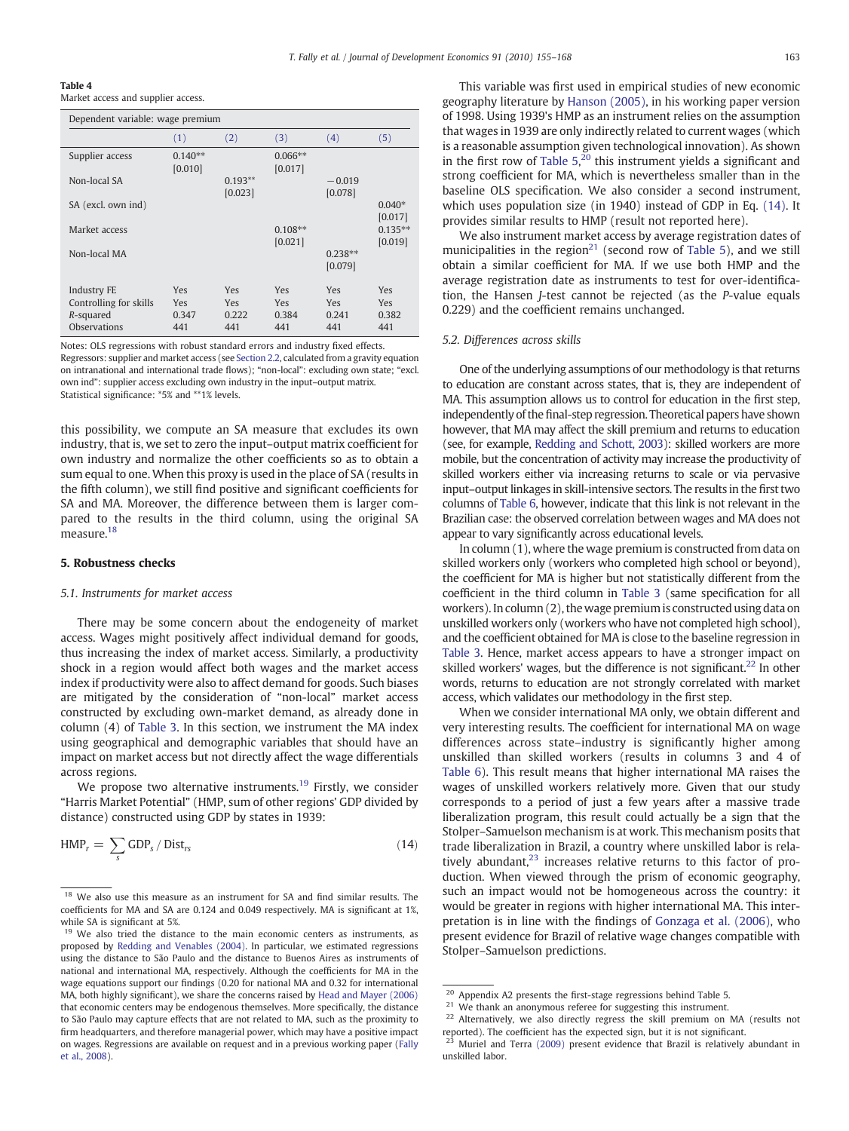<span id="page-8-0"></span>Table 4

Market access and supplier access.

| Dependent variable: wage premium                                          |                            |                            |                                          |                            |                            |
|---------------------------------------------------------------------------|----------------------------|----------------------------|------------------------------------------|----------------------------|----------------------------|
|                                                                           | (1)                        | (2)                        | (3)                                      | (4)                        | (5)                        |
| Supplier access                                                           | $0.140**$<br>[0.010]       |                            | $0.066**$<br>[0.017]                     |                            |                            |
| Non-local SA                                                              |                            | $0.193**$<br>[0.023]       |                                          | $-0.019$<br>[0.078]        |                            |
| SA (excl. own ind)                                                        |                            |                            |                                          |                            | $0.040*$<br>[0.017]        |
| Market access                                                             |                            |                            | $0.108**$<br>[0.021]                     |                            | $0.135**$<br>[0.019]       |
| Non-local MA                                                              |                            |                            |                                          | $0.238**$<br>[0.079]       |                            |
| <b>Industry FE</b><br>Controlling for skills<br>R-squared<br>Observations | Yes<br>Yes<br>0.347<br>441 | Yes<br>Yes<br>0.222<br>441 | <b>Yes</b><br><b>Yes</b><br>0.384<br>441 | Yes<br>Yes<br>0.241<br>441 | Yes<br>Yes<br>0.382<br>441 |

Notes: OLS regressions with robust standard errors and industry fixed effects. Regressors: supplier and market access (see [Section 2.2](#page-2-0), calculated from a gravity equation on intranational and international trade flows); "non-local": excluding own state; "excl. own ind": supplier access excluding own industry in the input–output matrix. Statistical significance: \*5% and \*\*1% levels.

this possibility, we compute an SA measure that excludes its own industry, that is, we set to zero the input–output matrix coefficient for own industry and normalize the other coefficients so as to obtain a sum equal to one. When this proxy is used in the place of SA (results in the fifth column), we still find positive and significant coefficients for SA and MA. Moreover, the difference between them is larger compared to the results in the third column, using the original SA measure.<sup>18</sup>

#### 5. Robustness checks

#### 5.1. Instruments for market access

There may be some concern about the endogeneity of market access. Wages might positively affect individual demand for goods, thus increasing the index of market access. Similarly, a productivity shock in a region would affect both wages and the market access index if productivity were also to affect demand for goods. Such biases are mitigated by the consideration of "non-local" market access constructed by excluding own-market demand, as already done in column (4) of [Table 3](#page-7-0). In this section, we instrument the MA index using geographical and demographic variables that should have an impact on market access but not directly affect the wage differentials across regions.

We propose two alternative instruments.<sup>19</sup> Firstly, we consider "Harris Market Potential" (HMP, sum of other regions' GDP divided by distance) constructed using GDP by states in 1939:

$$
HMP_r = \sum_{s} GDP_s / Dist_{rs}
$$
 (14)

This variable was first used in empirical studies of new economic geography literature by [Hanson \(2005\)](#page-13-0), in his working paper version of 1998. Using 1939's HMP as an instrument relies on the assumption that wages in 1939 are only indirectly related to current wages (which is a reasonable assumption given technological innovation). As shown in the first row of Table  $5<sub>1</sub><sup>20</sup>$  this instrument yields a significant and strong coefficient for MA, which is nevertheless smaller than in the baseline OLS specification. We also consider a second instrument, which uses population size (in 1940) instead of GDP in Eq. (14). It

We also instrument market access by average registration dates of municipalities in the region<sup>21</sup> (second row of [Table 5](#page-9-0)), and we still obtain a similar coefficient for MA. If we use both HMP and the average registration date as instruments to test for over-identification, the Hansen J-test cannot be rejected (as the P-value equals 0.229) and the coefficient remains unchanged.

provides similar results to HMP (result not reported here).

#### 5.2. Differences across skills

One of the underlying assumptions of our methodology is that returns to education are constant across states, that is, they are independent of MA. This assumption allows us to control for education in the first step, independently of the final-step regression. Theoretical papers have shown however, that MA may affect the skill premium and returns to education (see, for example, [Redding and Schott, 2003](#page-13-0)): skilled workers are more mobile, but the concentration of activity may increase the productivity of skilled workers either via increasing returns to scale or via pervasive input–output linkages in skill-intensive sectors. The results in the first two columns of [Table 6,](#page-9-0) however, indicate that this link is not relevant in the Brazilian case: the observed correlation between wages and MA does not appear to vary significantly across educational levels.

In column (1), where the wage premium is constructed from data on skilled workers only (workers who completed high school or beyond), the coefficient for MA is higher but not statistically different from the coefficient in the third column in [Table 3](#page-7-0) (same specification for all workers). In column (2), the wage premium is constructed using data on unskilled workers only (workers who have not completed high school), and the coefficient obtained for MA is close to the baseline regression in [Table 3](#page-7-0). Hence, market access appears to have a stronger impact on skilled workers' wages, but the difference is not significant.<sup>22</sup> In other words, returns to education are not strongly correlated with market access, which validates our methodology in the first step.

When we consider international MA only, we obtain different and very interesting results. The coefficient for international MA on wage differences across state–industry is significantly higher among unskilled than skilled workers (results in columns 3 and 4 of [Table 6\)](#page-9-0). This result means that higher international MA raises the wages of unskilled workers relatively more. Given that our study corresponds to a period of just a few years after a massive trade liberalization program, this result could actually be a sign that the Stolper–Samuelson mechanism is at work. This mechanism posits that trade liberalization in Brazil, a country where unskilled labor is relatively abundant, $^{23}$  increases relative returns to this factor of production. When viewed through the prism of economic geography, such an impact would not be homogeneous across the country: it would be greater in regions with higher international MA. This interpretation is in line with the findings of [Gonzaga et al. \(2006\),](#page-13-0) who present evidence for Brazil of relative wage changes compatible with Stolper–Samuelson predictions.

<sup>&</sup>lt;sup>18</sup> We also use this measure as an instrument for SA and find similar results. The coefficients for MA and SA are 0.124 and 0.049 respectively. MA is significant at 1%, while SA is significant at 5%.

<sup>&</sup>lt;sup>19</sup> We also tried the distance to the main economic centers as instruments, as proposed by [Redding and Venables \(2004\)](#page-13-0). In particular, we estimated regressions using the distance to São Paulo and the distance to Buenos Aires as instruments of national and international MA, respectively. Although the coefficients for MA in the wage equations support our findings (0.20 for national MA and 0.32 for international MA, both highly significant), we share the concerns raised by [Head and Mayer \(2006\)](#page-13-0) that economic centers may be endogenous themselves. More specifically, the distance to São Paulo may capture effects that are not related to MA, such as the proximity to firm headquarters, and therefore managerial power, which may have a positive impact on wages. Regressions are available on request and in a previous working paper ([Fally](#page-13-0) [et al., 2008](#page-13-0)).

Appendix A2 presents the first-stage regressions behind Table 5.

<sup>&</sup>lt;sup>21</sup> We thank an anonymous referee for suggesting this instrument.

Alternatively, we also directly regress the skill premium on MA (results not reported). The coefficient has the expected sign, but it is not significant.

 $23$  Muriel and Terra [\(2009\)](#page-13-0) present evidence that Brazil is relatively abundant in unskilled labor.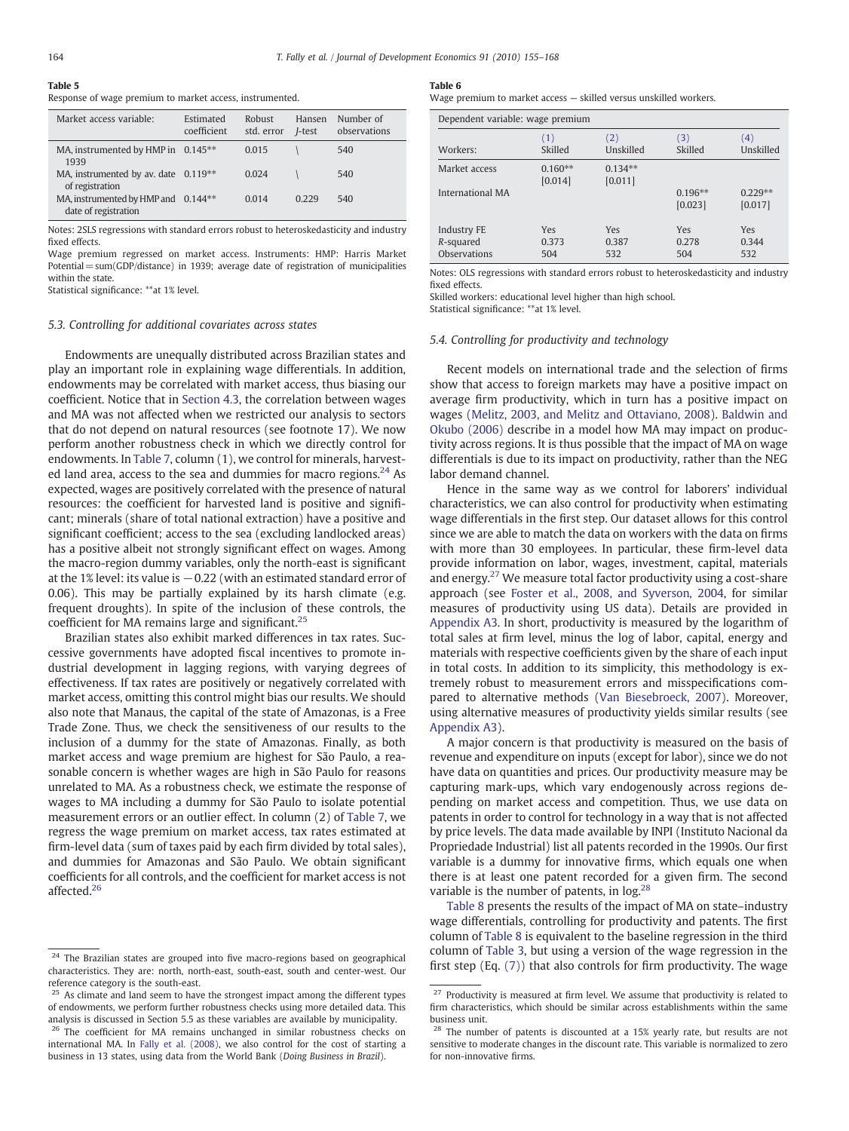# <span id="page-9-0"></span>Table 5

| -------                                                  |  |
|----------------------------------------------------------|--|
| Response of wage premium to market access, instrumented. |  |

| Market access variable:                                     | Estimated<br>coefficient | Robust<br>std. error | Hansen<br>-test | Number of<br>observations |
|-------------------------------------------------------------|--------------------------|----------------------|-----------------|---------------------------|
| MA, instrumented by HMP in 0.145 <sup>**</sup><br>1939      |                          | 0.015                |                 | 540                       |
| MA, instrumented by av. date $0.119**$<br>of registration   |                          | 0.024                |                 | 540                       |
| MA, instrumented by HMP and 0.144**<br>date of registration |                          | 0.014                | 0.229           | 540                       |

Notes: 2SLS regressions with standard errors robust to heteroskedasticity and industry fixed effects.

Wage premium regressed on market access. Instruments: HMP: Harris Market Potential=sum(GDP/distance) in 1939; average date of registration of municipalities within the state.

Statistical significance: \*\*at 1% level.

#### 5.3. Controlling for additional covariates across states

Endowments are unequally distributed across Brazilian states and play an important role in explaining wage differentials. In addition, endowments may be correlated with market access, thus biasing our coefficient. Notice that in [Section 4.3,](#page-7-0) the correlation between wages and MA was not affected when we restricted our analysis to sectors that do not depend on natural resources (see footnote 17). We now perform another robustness check in which we directly control for endowments. In [Table 7](#page-10-0), column (1), we control for minerals, harvested land area, access to the sea and dummies for macro regions. $^{24}$  As expected, wages are positively correlated with the presence of natural resources: the coefficient for harvested land is positive and significant; minerals (share of total national extraction) have a positive and significant coefficient; access to the sea (excluding landlocked areas) has a positive albeit not strongly significant effect on wages. Among the macro-region dummy variables, only the north-east is significant at the 1% level: its value is −0.22 (with an estimated standard error of 0.06). This may be partially explained by its harsh climate (e.g. frequent droughts). In spite of the inclusion of these controls, the coefficient for MA remains large and significant.25

Brazilian states also exhibit marked differences in tax rates. Successive governments have adopted fiscal incentives to promote industrial development in lagging regions, with varying degrees of effectiveness. If tax rates are positively or negatively correlated with market access, omitting this control might bias our results. We should also note that Manaus, the capital of the state of Amazonas, is a Free Trade Zone. Thus, we check the sensitiveness of our results to the inclusion of a dummy for the state of Amazonas. Finally, as both market access and wage premium are highest for São Paulo, a reasonable concern is whether wages are high in São Paulo for reasons unrelated to MA. As a robustness check, we estimate the response of wages to MA including a dummy for São Paulo to isolate potential measurement errors or an outlier effect. In column (2) of [Table 7,](#page-10-0) we regress the wage premium on market access, tax rates estimated at firm-level data (sum of taxes paid by each firm divided by total sales), and dummies for Amazonas and São Paulo. We obtain significant coefficients for all controls, and the coefficient for market access is not affected.<sup>26</sup>

#### Table 6

Wage premium to market access — skilled versus unskilled workers.

| Dependent variable: wage premium                |                      |                      |                      |                               |  |
|-------------------------------------------------|----------------------|----------------------|----------------------|-------------------------------|--|
| Workers:                                        | (1)<br>Skilled       | (2)<br>Unskilled     | (3)<br>Skilled       | $\left(4\right)$<br>Unskilled |  |
| Market access                                   | $0.160**$<br>[0.014] | $0.134**$<br>[0.011] |                      |                               |  |
| International MA                                |                      |                      | $0.196**$<br>[0.023] | $0.229**$<br>[0.017]          |  |
| Industry FE<br>R-squared<br><b>Observations</b> | Yes<br>0.373<br>504  | Yes<br>0.387<br>532  | Yes<br>0.278<br>504  | Yes<br>0.344<br>532           |  |

Notes: OLS regressions with standard errors robust to heteroskedasticity and industry fixed effects.

Skilled workers: educational level higher than high school.

Statistical significance: \*\*at 1% level.

#### 5.4. Controlling for productivity and technology

Recent models on international trade and the selection of firms show that access to foreign markets may have a positive impact on average firm productivity, which in turn has a positive impact on wages ([Melitz, 2003, and Melitz and Ottaviano, 2008](#page-13-0)). [Baldwin and](#page-13-0) [Okubo \(2006\)](#page-13-0) describe in a model how MA may impact on productivity across regions. It is thus possible that the impact of MA on wage differentials is due to its impact on productivity, rather than the NEG labor demand channel.

Hence in the same way as we control for laborers' individual characteristics, we can also control for productivity when estimating wage differentials in the first step. Our dataset allows for this control since we are able to match the data on workers with the data on firms with more than 30 employees. In particular, these firm-level data provide information on labor, wages, investment, capital, materials and energy.<sup>27</sup> We measure total factor productivity using a cost-share approach (see [Foster et al., 2008, and Syverson, 2004,](#page-13-0) for similar measures of productivity using US data). Details are provided in [Appendix A3](#page-12-0). In short, productivity is measured by the logarithm of total sales at firm level, minus the log of labor, capital, energy and materials with respective coefficients given by the share of each input in total costs. In addition to its simplicity, this methodology is extremely robust to measurement errors and misspecifications compared to alternative methods ([Van Biesebroeck, 2007](#page-13-0)). Moreover, using alternative measures of productivity yields similar results (see [Appendix A3\)](#page-12-0).

A major concern is that productivity is measured on the basis of revenue and expenditure on inputs (except for labor), since we do not have data on quantities and prices. Our productivity measure may be capturing mark-ups, which vary endogenously across regions depending on market access and competition. Thus, we use data on patents in order to control for technology in a way that is not affected by price levels. The data made available by INPI (Instituto Nacional da Propriedade Industrial) list all patents recorded in the 1990s. Our first variable is a dummy for innovative firms, which equals one when there is at least one patent recorded for a given firm. The second variable is the number of patents, in log.<sup>28</sup>

[Table 8](#page-10-0) presents the results of the impact of MA on state–industry wage differentials, controlling for productivity and patents. The first column of [Table 8](#page-10-0) is equivalent to the baseline regression in the third column of [Table 3,](#page-7-0) but using a version of the wage regression in the first step  $(Eq, (7))$  that also controls for firm productivity. The wage

 $24$  The Brazilian states are grouped into five macro-regions based on geographical characteristics. They are: north, north-east, south-east, south and center-west. Our reference category is the south-east.

<sup>&</sup>lt;sup>25</sup> As climate and land seem to have the strongest impact among the different types of endowments, we perform further robustness checks using more detailed data. This analysis is discussed in Section 5.5 as these variables are available by municipality.

<sup>&</sup>lt;sup>26</sup> The coefficient for MA remains unchanged in similar robustness checks on international MA. In [Fally et al. \(2008\),](#page-13-0) we also control for the cost of starting a business in 13 states, using data from the World Bank (Doing Business in Brazil).

 $27$  Productivity is measured at firm level. We assume that productivity is related to firm characteristics, which should be similar across establishments within the same business unit.

 $28$  The number of patents is discounted at a 15% yearly rate, but results are not sensitive to moderate changes in the discount rate. This variable is normalized to zero for non-innovative firms.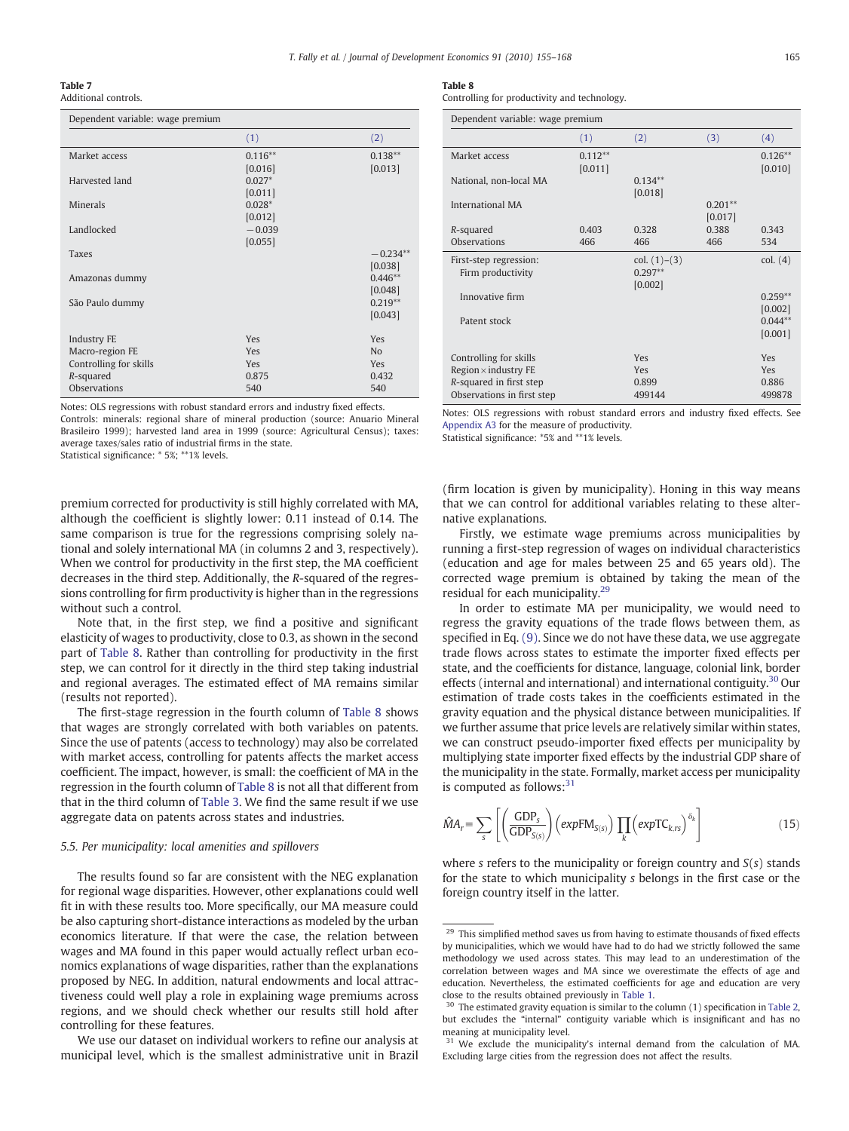#### <span id="page-10-0"></span>Table 7

Additional controls.

| Dependent variable: wage premium |            |                |
|----------------------------------|------------|----------------|
|                                  | (1)        | (2)            |
| Market access                    | $0.116***$ | $0.138**$      |
|                                  | [0.016]    | [0.013]        |
| Harvested land                   | $0.027*$   |                |
|                                  | [0.011]    |                |
| <b>Minerals</b>                  | $0.028*$   |                |
|                                  | [0.012]    |                |
| Landlocked                       | $-0.039$   |                |
|                                  | [0.055]    |                |
| <b>Taxes</b>                     |            | $-0.234**$     |
|                                  |            | [0.038]        |
| Amazonas dummy                   |            | $0.446**$      |
|                                  |            | [0.048]        |
| São Paulo dummy                  |            | $0.219**$      |
|                                  |            | [0.043]        |
| <b>Industry FE</b>               | Yes        | Yes            |
| Macro-region FE                  | Yes        | N <sub>o</sub> |
| Controlling for skills           | Yes        | Yes            |
| R-squared                        | 0.875      | 0.432          |
| <b>Observations</b>              | 540        | 540            |
|                                  |            |                |

Notes: OLS regressions with robust standard errors and industry fixed effects.

Controls: minerals: regional share of mineral production (source: Anuario Mineral Brasileiro 1999); harvested land area in 1999 (source: Agricultural Census); taxes: average taxes/sales ratio of industrial firms in the state. Statistical significance: \* 5%; \*\*1% levels.

premium corrected for productivity is still highly correlated with MA, although the coefficient is slightly lower: 0.11 instead of 0.14. The same comparison is true for the regressions comprising solely national and solely international MA (in columns 2 and 3, respectively). When we control for productivity in the first step, the MA coefficient decreases in the third step. Additionally, the R-squared of the regressions controlling for firm productivity is higher than in the regressions without such a control.

Note that, in the first step, we find a positive and significant elasticity of wages to productivity, close to 0.3, as shown in the second part of Table 8. Rather than controlling for productivity in the first step, we can control for it directly in the third step taking industrial and regional averages. The estimated effect of MA remains similar (results not reported).

The first-stage regression in the fourth column of Table 8 shows that wages are strongly correlated with both variables on patents. Since the use of patents (access to technology) may also be correlated with market access, controlling for patents affects the market access coefficient. The impact, however, is small: the coefficient of MA in the regression in the fourth column of Table 8 is not all that different from that in the third column of [Table 3.](#page-7-0) We find the same result if we use aggregate data on patents across states and industries.

#### 5.5. Per municipality: local amenities and spillovers

The results found so far are consistent with the NEG explanation for regional wage disparities. However, other explanations could well fit in with these results too. More specifically, our MA measure could be also capturing short-distance interactions as modeled by the urban economics literature. If that were the case, the relation between wages and MA found in this paper would actually reflect urban economics explanations of wage disparities, rather than the explanations proposed by NEG. In addition, natural endowments and local attractiveness could well play a role in explaining wage premiums across regions, and we should check whether our results still hold after controlling for these features.

We use our dataset on individual workers to refine our analysis at municipal level, which is the smallest administrative unit in Brazil

#### Table 8

Controlling for productivity and technology.

| Dependent variable: wage premium |                               |                      |                               |  |
|----------------------------------|-------------------------------|----------------------|-------------------------------|--|
| (1)                              | (2)                           | (3)                  | (4)                           |  |
| $0.112**$<br>[0.011]             |                               |                      | $0.126**$<br>[0.010]          |  |
|                                  | $0.134**$<br>[0.018]          |                      |                               |  |
|                                  |                               | $0.201**$<br>[0.017] |                               |  |
| 0.403                            | 0.328                         | 0.388                | 0.343                         |  |
| 466                              | 466                           | 466                  | 534                           |  |
|                                  | col. $(1)-(3)$<br>$0.297**$   |                      | col. (4)                      |  |
|                                  |                               |                      | $0.259**$<br>[0.002]          |  |
|                                  |                               |                      | $0.044**$<br>[0.001]          |  |
|                                  | Yes<br>Yes<br>0.899<br>499144 |                      | Yes<br>Yes<br>0.886<br>499878 |  |
|                                  |                               | [0.002]              |                               |  |

Notes: OLS regressions with robust standard errors and industry fixed effects. See [Appendix A3](#page-12-0) for the measure of productivity.

Statistical significance: \*5% and \*\*1% levels.

(firm location is given by municipality). Honing in this way means that we can control for additional variables relating to these alternative explanations.

Firstly, we estimate wage premiums across municipalities by running a first-step regression of wages on individual characteristics (education and age for males between 25 and 65 years old). The corrected wage premium is obtained by taking the mean of the residual for each municipality.29

In order to estimate MA per municipality, we would need to regress the gravity equations of the trade flows between them, as specified in Eq. (9). Since we do not have these data, we use aggregate trade flows across states to estimate the importer fixed effects per state, and the coefficients for distance, language, colonial link, border effects (internal and international) and international contiguity.30 Our estimation of trade costs takes in the coefficients estimated in the gravity equation and the physical distance between municipalities. If we further assume that price levels are relatively similar within states, we can construct pseudo-importer fixed effects per municipality by multiplying state importer fixed effects by the industrial GDP share of the municipality in the state. Formally, market access per municipality is computed as follows: $31$ 

$$
\hat{M}A_r = \sum_{s} \left[ \left( \frac{\text{GDP}_s}{\text{GDP}_{S(s)}} \right) \left( \exp \text{FM}_{S(s)} \right) \prod_{k} \left( \exp \text{TC}_{k,rs} \right)^{\delta_k} \right] \tag{15}
$$

where s refers to the municipality or foreign country and  $S(s)$  stands for the state to which municipality s belongs in the first case or the foreign country itself in the latter.

 $29$  This simplified method saves us from having to estimate thousands of fixed effects by municipalities, which we would have had to do had we strictly followed the same methodology we used across states. This may lead to an underestimation of the correlation between wages and MA since we overestimate the effects of age and education. Nevertheless, the estimated coefficients for age and education are very close to the results obtained previously in [Table 1](#page-4-0).

 $30$  The estimated gravity equation is similar to the column (1) specification in [Table 2](#page-5-0), but excludes the "internal" contiguity variable which is insignificant and has no meaning at municipality level.

<sup>&</sup>lt;sup>31</sup> We exclude the municipality's internal demand from the calculation of MA. Excluding large cities from the regression does not affect the results.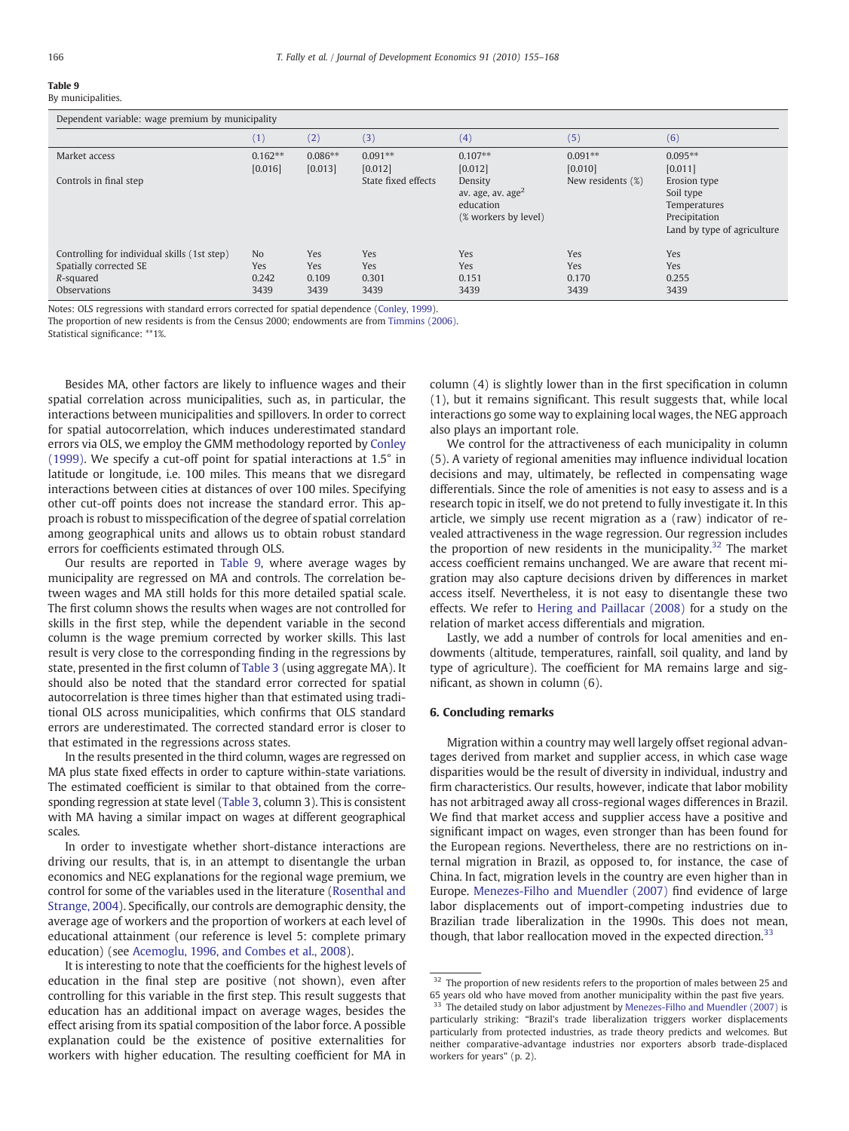<span id="page-11-0"></span>

| 166 | T. Fally et al. / Journal of Development Economics 91 (2010) 155-168 |  |
|-----|----------------------------------------------------------------------|--|
|-----|----------------------------------------------------------------------|--|

#### Table 9 By municipalities.

Dependent variable: wage premium by municipality  $(1)$   $(2)$   $(3)$   $(4)$   $(5)$   $(6)$ Market access 0.162⁎⁎ 0.086⁎⁎ 0.091⁎⁎ 0.107⁎⁎ 0.091⁎⁎ 0.095⁎⁎  $[0.016]$   $[0.013]$   $[0.012]$   $[0.012]$   $[0.010]$   $[0.011]$ Controls in final step State fixed effects Density New residents (%) Erosion type av. age, av. age<sup>2</sup> Soil type education Temperatures<br>
(% workers by level) example the Precipitation Precipitation (% workers by level) Land by type of agriculture Controlling for individual skills (1st step) No Yes Yes Yes Yes Yes Spatially corrected SE Yes Yes Yes Yes Yes Yes R-squared 0.242 0.109 0.301 0.151 0.170 0.255 Observations 3439 3439 3439 3439 3439 3439

Notes: OLS regressions with standard errors corrected for spatial dependence [\(Conley, 1999](#page-13-0)).

The proportion of new residents is from the Census 2000; endowments are from [Timmins \(2006\)](#page-13-0).

Statistical significance: \*\*1%.

Besides MA, other factors are likely to influence wages and their spatial correlation across municipalities, such as, in particular, the interactions between municipalities and spillovers. In order to correct for spatial autocorrelation, which induces underestimated standard errors via OLS, we employ the GMM methodology reported by [Conley](#page-13-0) [\(1999\).](#page-13-0) We specify a cut-off point for spatial interactions at 1.5° in latitude or longitude, i.e. 100 miles. This means that we disregard interactions between cities at distances of over 100 miles. Specifying other cut-off points does not increase the standard error. This approach is robust to misspecification of the degree of spatial correlation among geographical units and allows us to obtain robust standard errors for coefficients estimated through OLS.

Our results are reported in Table 9, where average wages by municipality are regressed on MA and controls. The correlation between wages and MA still holds for this more detailed spatial scale. The first column shows the results when wages are not controlled for skills in the first step, while the dependent variable in the second column is the wage premium corrected by worker skills. This last result is very close to the corresponding finding in the regressions by state, presented in the first column of [Table 3](#page-7-0) (using aggregate MA). It should also be noted that the standard error corrected for spatial autocorrelation is three times higher than that estimated using traditional OLS across municipalities, which confirms that OLS standard errors are underestimated. The corrected standard error is closer to that estimated in the regressions across states.

In the results presented in the third column, wages are regressed on MA plus state fixed effects in order to capture within-state variations. The estimated coefficient is similar to that obtained from the corresponding regression at state level [\(Table 3](#page-7-0), column 3). This is consistent with MA having a similar impact on wages at different geographical scales.

In order to investigate whether short-distance interactions are driving our results, that is, in an attempt to disentangle the urban economics and NEG explanations for the regional wage premium, we control for some of the variables used in the literature [\(Rosenthal and](#page-13-0) [Strange, 2004](#page-13-0)). Specifically, our controls are demographic density, the average age of workers and the proportion of workers at each level of educational attainment (our reference is level 5: complete primary education) (see [Acemoglu, 1996, and Combes et al., 2008\)](#page-13-0).

It is interesting to note that the coefficients for the highest levels of education in the final step are positive (not shown), even after controlling for this variable in the first step. This result suggests that education has an additional impact on average wages, besides the effect arising from its spatial composition of the labor force. A possible explanation could be the existence of positive externalities for workers with higher education. The resulting coefficient for MA in column (4) is slightly lower than in the first specification in column (1), but it remains significant. This result suggests that, while local interactions go some way to explaining local wages, the NEG approach also plays an important role.

We control for the attractiveness of each municipality in column (5). A variety of regional amenities may influence individual location decisions and may, ultimately, be reflected in compensating wage differentials. Since the role of amenities is not easy to assess and is a research topic in itself, we do not pretend to fully investigate it. In this article, we simply use recent migration as a (raw) indicator of revealed attractiveness in the wage regression. Our regression includes the proportion of new residents in the municipality.<sup>32</sup> The market access coefficient remains unchanged. We are aware that recent migration may also capture decisions driven by differences in market access itself. Nevertheless, it is not easy to disentangle these two effects. We refer to [Hering and Paillacar \(2008\)](#page-13-0) for a study on the relation of market access differentials and migration.

Lastly, we add a number of controls for local amenities and endowments (altitude, temperatures, rainfall, soil quality, and land by type of agriculture). The coefficient for MA remains large and significant, as shown in column (6).

#### 6. Concluding remarks

Migration within a country may well largely offset regional advantages derived from market and supplier access, in which case wage disparities would be the result of diversity in individual, industry and firm characteristics. Our results, however, indicate that labor mobility has not arbitraged away all cross-regional wages differences in Brazil. We find that market access and supplier access have a positive and significant impact on wages, even stronger than has been found for the European regions. Nevertheless, there are no restrictions on internal migration in Brazil, as opposed to, for instance, the case of China. In fact, migration levels in the country are even higher than in Europe. [Menezes-Filho and Muendler \(2007\)](#page-13-0) find evidence of large labor displacements out of import-competing industries due to Brazilian trade liberalization in the 1990s. This does not mean, though, that labor reallocation moved in the expected direction. $33$ 

 $^{32}\,$  The proportion of new residents refers to the proportion of males between 25 and 65 years old who have moved from another municipality within the past five years.

<sup>&</sup>lt;sup>33</sup> The detailed study on labor adjustment by [Menezes-Filho and Muendler \(2007\)](#page-13-0) is particularly striking: "Brazil's trade liberalization triggers worker displacements particularly from protected industries, as trade theory predicts and welcomes. But neither comparative-advantage industries nor exporters absorb trade-displaced workers for years" (p. 2).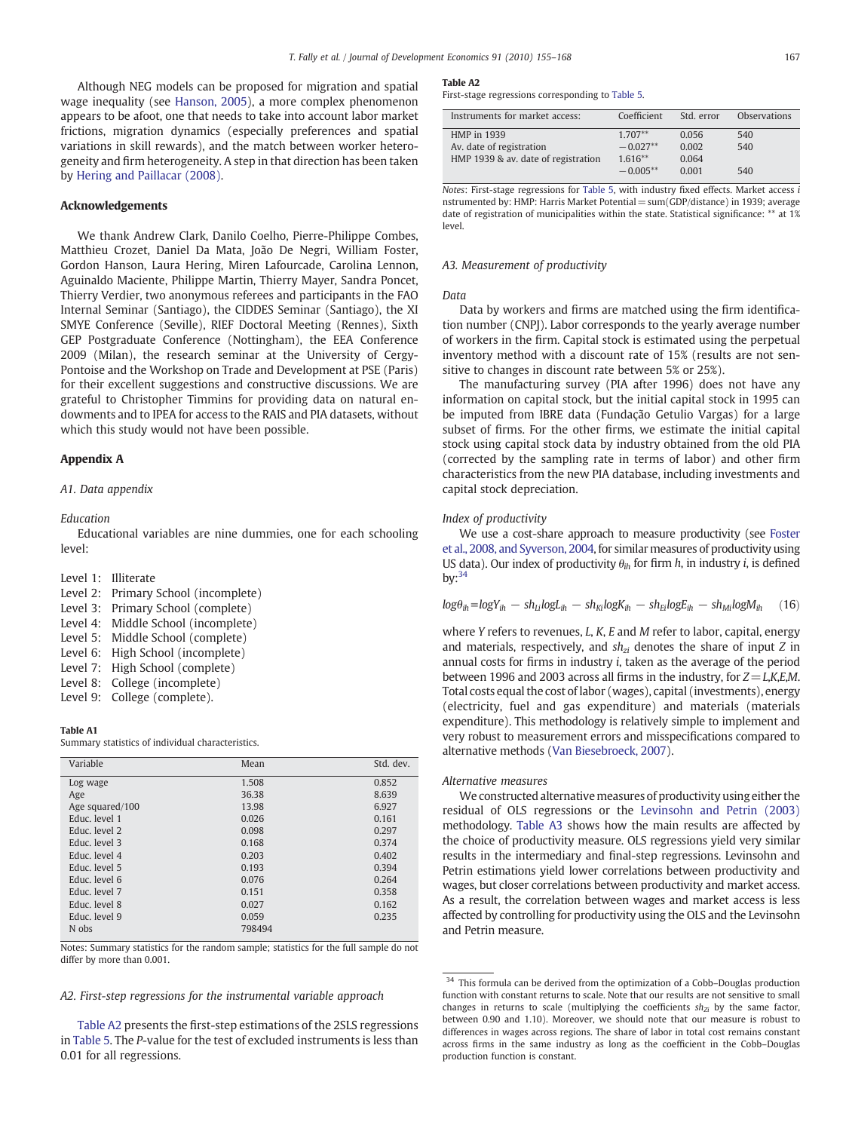<span id="page-12-0"></span>Although NEG models can be proposed for migration and spatial wage inequality (see [Hanson, 2005](#page-13-0)), a more complex phenomenon appears to be afoot, one that needs to take into account labor market frictions, migration dynamics (especially preferences and spatial variations in skill rewards), and the match between worker heterogeneity and firm heterogeneity. A step in that direction has been taken by [Hering and Paillacar \(2008\).](#page-13-0)

#### Acknowledgements

We thank Andrew Clark, Danilo Coelho, Pierre-Philippe Combes, Matthieu Crozet, Daniel Da Mata, João De Negri, William Foster, Gordon Hanson, Laura Hering, Miren Lafourcade, Carolina Lennon, Aguinaldo Maciente, Philippe Martin, Thierry Mayer, Sandra Poncet, Thierry Verdier, two anonymous referees and participants in the FAO Internal Seminar (Santiago), the CIDDES Seminar (Santiago), the XI SMYE Conference (Seville), RIEF Doctoral Meeting (Rennes), Sixth GEP Postgraduate Conference (Nottingham), the EEA Conference 2009 (Milan), the research seminar at the University of Cergy-Pontoise and the Workshop on Trade and Development at PSE (Paris) for their excellent suggestions and constructive discussions. We are grateful to Christopher Timmins for providing data on natural endowments and to IPEA for access to the RAIS and PIA datasets, without which this study would not have been possible.

#### Appendix A

#### A1. Data appendix

Education

Educational variables are nine dummies, one for each schooling level:

- Level 1: Illiterate
- Level 2: Primary School (incomplete)
- Level 3: Primary School (complete)
- Level 4: Middle School (incomplete)
- Level 5: Middle School (complete)
- Level 6: High School (incomplete)
- Level 7: High School (complete)
- Level 8: College (incomplete)
- Level 9: College (complete).

#### Table A1

Summary statistics of individual characteristics.

| Variable        | Mean   | Std. dev. |
|-----------------|--------|-----------|
| Log wage        | 1.508  | 0.852     |
| Age             | 36.38  | 8.639     |
| Age squared/100 | 13.98  | 6.927     |
| Educ. level 1   | 0.026  | 0.161     |
| Educ. level 2   | 0.098  | 0.297     |
| Educ. level 3   | 0.168  | 0.374     |
| Educ. level 4   | 0.203  | 0.402     |
| Educ. level 5   | 0.193  | 0.394     |
| Educ. level 6   | 0.076  | 0.264     |
| Educ. level 7   | 0.151  | 0.358     |
| Educ. level 8   | 0.027  | 0.162     |
| Educ. level 9   | 0.059  | 0.235     |
| N obs           | 798494 |           |

Notes: Summary statistics for the random sample; statistics for the full sample do not differ by more than 0.001.

#### A2. First-step regressions for the instrumental variable approach

Table A2 presents the first-step estimations of the 2SLS regressions in [Table 5](#page-9-0). The P-value for the test of excluded instruments is less than 0.01 for all regressions.

#### Table A2

First-stage regressions corresponding to [Table 5.](#page-9-0)

| Instruments for market access:      | Coefficient | Std. error | Observations |
|-------------------------------------|-------------|------------|--------------|
| HMP in 1939                         | $1.707**$   | 0.056      | 540          |
| Av. date of registration            | $-0.027**$  | 0.002      | 540          |
| HMP 1939 & av. date of registration | $1.616**$   | 0.064      |              |
|                                     | $-0.005**$  | 0.001      | 540          |

Notes: First-stage regressions for [Table 5,](#page-9-0) with industry fixed effects. Market access i nstrumented by: HMP: Harris Market Potential= sum(GDP/distance) in 1939; average date of registration of municipalities within the state. Statistical significance: \*\* at 1% level.

#### A3. Measurement of productivity

#### Data

Data by workers and firms are matched using the firm identification number (CNPJ). Labor corresponds to the yearly average number of workers in the firm. Capital stock is estimated using the perpetual inventory method with a discount rate of 15% (results are not sensitive to changes in discount rate between 5% or 25%).

The manufacturing survey (PIA after 1996) does not have any information on capital stock, but the initial capital stock in 1995 can be imputed from IBRE data (Fundação Getulio Vargas) for a large subset of firms. For the other firms, we estimate the initial capital stock using capital stock data by industry obtained from the old PIA (corrected by the sampling rate in terms of labor) and other firm characteristics from the new PIA database, including investments and capital stock depreciation.

#### Index of productivity

We use a cost-share approach to measure productivity (see [Foster](#page-13-0) [et al., 2008, and Syverson, 2004,](#page-13-0) for similar measures of productivity using US data). Our index of productivity  $\theta_{ih}$  for firm h, in industry i, is defined by: $34$ 

$$
log\theta_{ih} = logY_{ih} - sh_{Li}logL_{ih} - sh_{Ki}logK_{ih} - sh_{Ei}logE_{ih} - sh_{Mi}logM_{ih}
$$
 (16)

where Y refers to revenues, L, K, E and M refer to labor, capital, energy and materials, respectively, and  $sh_{zi}$  denotes the share of input Z in annual costs for firms in industry i, taken as the average of the period between 1996 and 2003 across all firms in the industry, for  $Z = L$ , K, E, M. Total costs equal the cost of labor (wages), capital (investments), energy (electricity, fuel and gas expenditure) and materials (materials expenditure). This methodology is relatively simple to implement and very robust to measurement errors and misspecifications compared to alternative methods ([Van Biesebroeck, 2007\)](#page-13-0).

#### Alternative measures

We constructed alternative measures of productivity using either the residual of OLS regressions or the [Levinsohn and Petrin \(2003\)](#page-13-0) methodology. Table A3 shows how the main results are affected by the choice of productivity measure. OLS regressions yield very similar results in the intermediary and final-step regressions. Levinsohn and Petrin estimations yield lower correlations between productivity and wages, but closer correlations between productivity and market access. As a result, the correlation between wages and market access is less affected by controlling for productivity using the OLS and the Levinsohn and Petrin measure.

 $^{34}$  This formula can be derived from the optimization of a Cobb–Douglas production function with constant returns to scale. Note that our results are not sensitive to small changes in returns to scale (multiplying the coefficients  $sh_{Zi}$  by the same factor, between 0.90 and 1.10). Moreover, we should note that our measure is robust to differences in wages across regions. The share of labor in total cost remains constant across firms in the same industry as long as the coefficient in the Cobb–Douglas production function is constant.